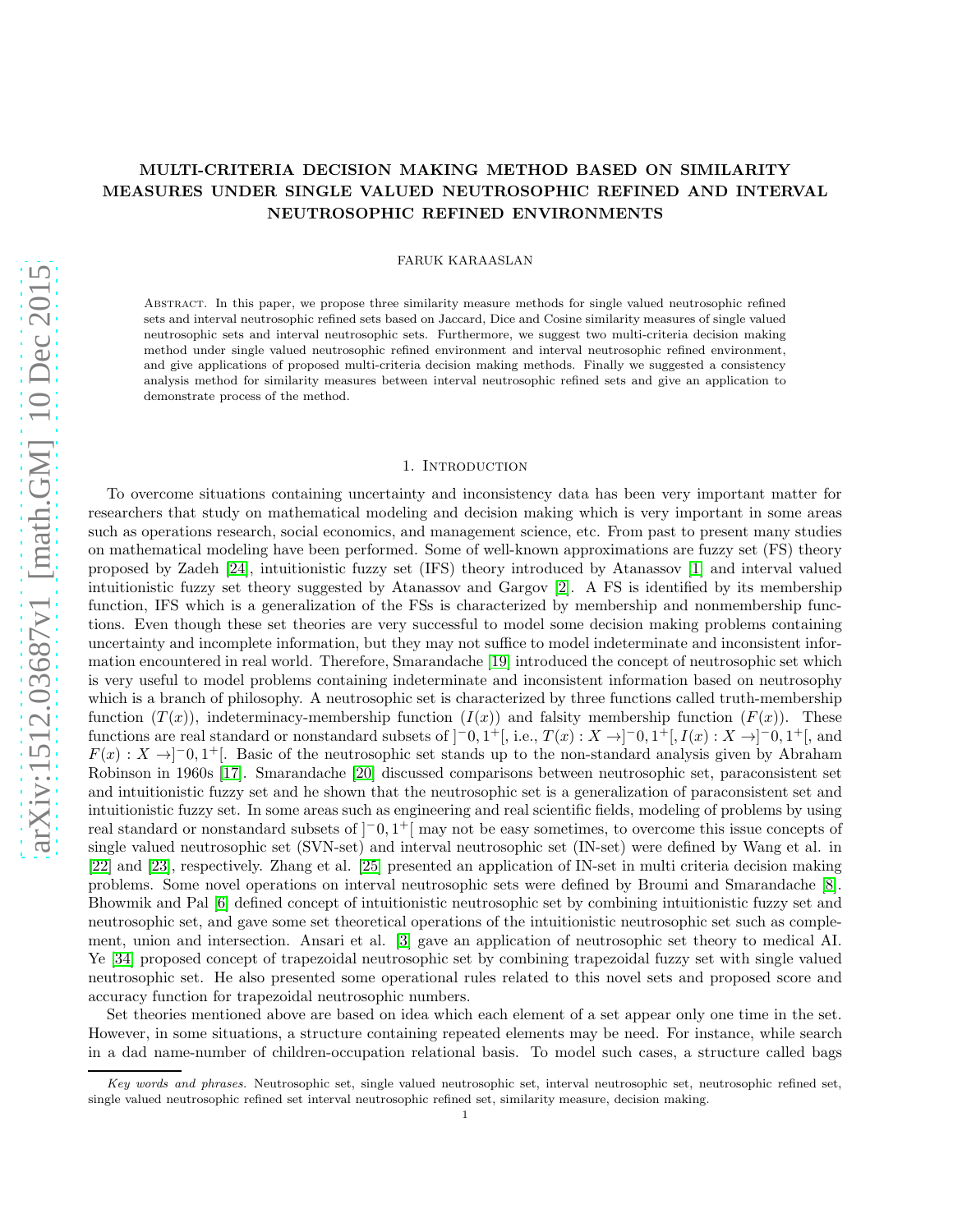# MULTI-CRITERIA DECISION MAKING METHOD BASED ON SIMILARITY MEASURES UNDER SINGLE VALUED NEUTROSOPHIC REFINED AND INTERVAL NEUTROSOPHIC REFINED ENVIRONMENTS

FARUK KARAASLAN

Abstract. In this paper, we propose three similarity measure methods for single valued neutrosophic refined sets and interval neutrosophic refined sets based on Jaccard, Dice and Cosine similarity measures of single valued neutrosophic sets and interval neutrosophic sets. Furthermore, we suggest two multi-criteria decision making method under single valued neutrosophic refined environment and interval neutrosophic refined environment, and give applications of proposed multi-criteria decision making methods. Finally we suggested a consistency analysis method for similarity measures between interval neutrosophic refined sets and give an application to demonstrate process of the method.

#### 1. Introduction

To overcome situations containing uncertainty and inconsistency data has been very important matter for researchers that study on mathematical modeling and decision making which is very important in some areas such as operations research, social economics, and management science, etc. From past to present many studies on mathematical modeling have been performed. Some of well-known approximations are fuzzy set (FS) theory proposed by Zadeh [\[24\]](#page-14-0), intuitionistic fuzzy set (IFS) theory introduced by Atanassov [\[1\]](#page-12-0) and interval valued intuitionistic fuzzy set theory suggested by Atanassov and Gargov [\[2\]](#page-12-1). A FS is identified by its membership function, IFS which is a generalization of the FSs is characterized by membership and nonmembership functions. Even though these set theories are very successful to model some decision making problems containing uncertainty and incomplete information, but they may not suffice to model indeterminate and inconsistent information encountered in real world. Therefore, Smarandache [\[19\]](#page-13-0) introduced the concept of neutrosophic set which is very useful to model problems containing indeterminate and inconsistent information based on neutrosophy which is a branch of philosophy. A neutrosophic set is characterized by three functions called truth-membership function  $(T(x))$ , indeterminacy-membership function  $(I(x))$  and falsity membership function  $(F(x))$ . These functions are real standard or nonstandard subsets of  $]$ <sup>-0</sup>, 1<sup>+</sup>[, i.e.,  $T(x) : X \rightarrow ]$ <sup>-0</sup>, 1<sup>+</sup>[,  $I(x) : X \rightarrow ]$ <sup>-0</sup>, 1<sup>+</sup>[, and  $F(x): X \rightarrow ]-0,1^+[$ . Basic of the neutrosophic set stands up to the non-standard analysis given by Abraham Robinson in 1960s [\[17\]](#page-13-1). Smarandache [\[20\]](#page-13-2) discussed comparisons between neutrosophic set, paraconsistent set and intuitionistic fuzzy set and he shown that the neutrosophic set is a generalization of paraconsistent set and intuitionistic fuzzy set. In some areas such as engineering and real scientific fields, modeling of problems by using real standard or nonstandard subsets of  $]$ <sup>-</sup>0, 1<sup>+</sup>[ may not be easy sometimes, to overcome this issue concepts of single valued neutrosophic set (SVN-set) and interval neutrosophic set (IN-set) were defined by Wang et al. in [\[22\]](#page-14-1) and [\[23\]](#page-14-2), respectively. Zhang et al. [\[25\]](#page-14-3) presented an application of IN-set in multi criteria decision making problems. Some novel operations on interval neutrosophic sets were defined by Broumi and Smarandache [\[8\]](#page-13-3). Bhowmik and Pal [\[6\]](#page-13-4) defined concept of intuitionistic neutrosophic set by combining intuitionistic fuzzy set and neutrosophic set, and gave some set theoretical operations of the intuitionistic neutrosophic set such as complement, union and intersection. Ansari et al. [\[3\]](#page-12-2) gave an application of neutrosophic set theory to medical AI. Ye [\[34\]](#page-14-4) proposed concept of trapezoidal neutrosophic set by combining trapezoidal fuzzy set with single valued neutrosophic set. He also presented some operational rules related to this novel sets and proposed score and accuracy function for trapezoidal neutrosophic numbers.

Set theories mentioned above are based on idea which each element of a set appear only one time in the set. However, in some situations, a structure containing repeated elements may be need. For instance, while search in a dad name-number of children-occupation relational basis. To model such cases, a structure called bags

Key words and phrases. Neutrosophic set, single valued neutrosophic set, interval neutrosophic set, neutrosophic refined set, single valued neutrosophic refined set interval neutrosophic refined set, similarity measure, decision making.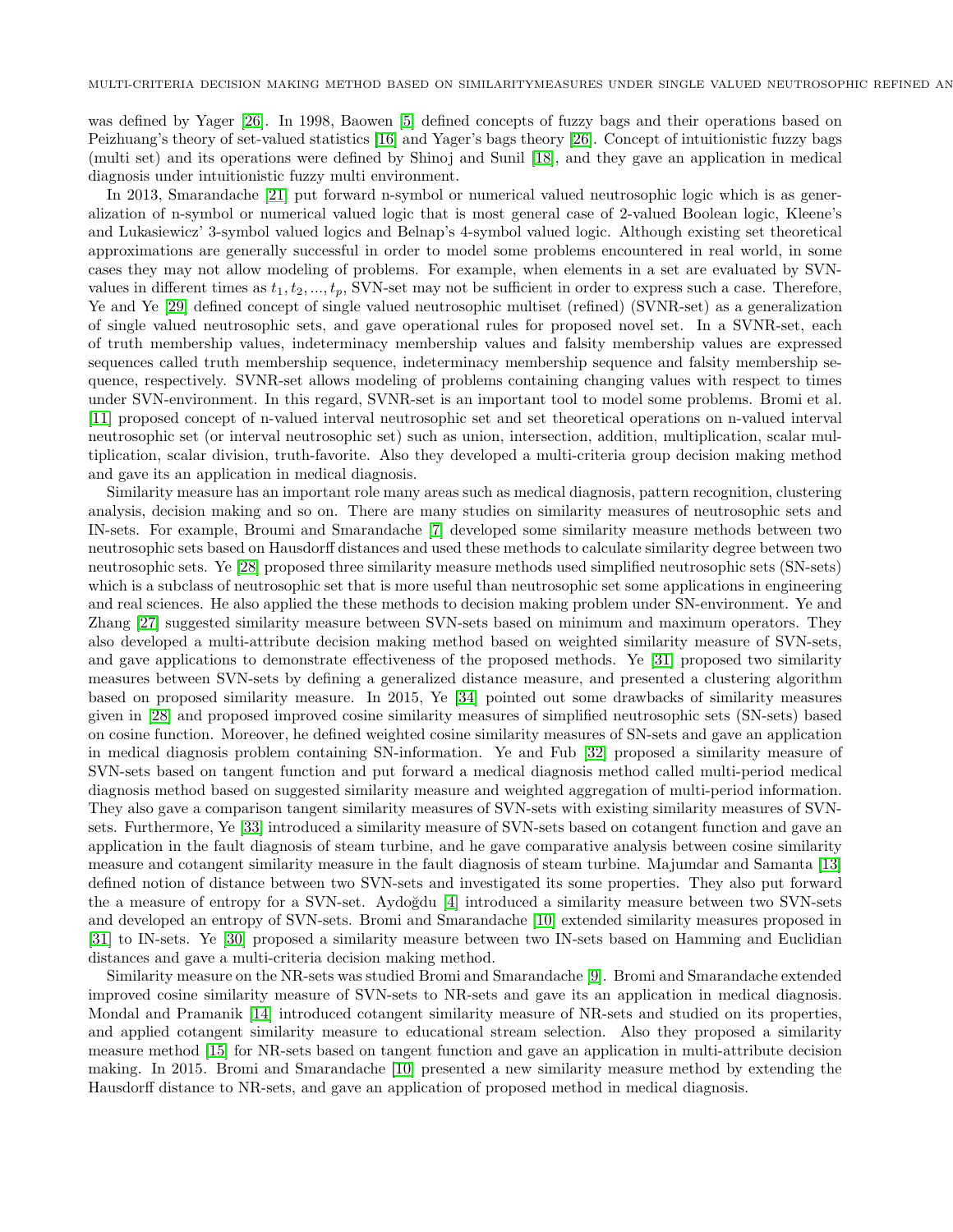was defined by Yager [\[26\]](#page-14-5). In 1998, Baowen [\[5\]](#page-13-5) defined concepts of fuzzy bags and their operations based on Peizhuang's theory of set-valued statistics [\[16\]](#page-13-6) and Yager's bags theory [\[26\]](#page-14-5). Concept of intuitionistic fuzzy bags (multi set) and its operations were defined by Shinoj and Sunil [\[18\]](#page-13-7), and they gave an application in medical diagnosis under intuitionistic fuzzy multi environment.

In 2013, Smarandache [\[21\]](#page-14-6) put forward n-symbol or numerical valued neutrosophic logic which is as generalization of n-symbol or numerical valued logic that is most general case of 2-valued Boolean logic, Kleene's and Lukasiewicz' 3-symbol valued logics and Belnap's 4-symbol valued logic. Although existing set theoretical approximations are generally successful in order to model some problems encountered in real world, in some cases they may not allow modeling of problems. For example, when elements in a set are evaluated by SVNvalues in different times as  $t_1, t_2, ..., t_p$ , SVN-set may not be sufficient in order to express such a case. Therefore, Ye and Ye [\[29\]](#page-14-7) defined concept of single valued neutrosophic multiset (refined) (SVNR-set) as a generalization of single valued neutrosophic sets, and gave operational rules for proposed novel set. In a SVNR-set, each of truth membership values, indeterminacy membership values and falsity membership values are expressed sequences called truth membership sequence, indeterminacy membership sequence and falsity membership sequence, respectively. SVNR-set allows modeling of problems containing changing values with respect to times under SVN-environment. In this regard, SVNR-set is an important tool to model some problems. Bromi et al. [\[11\]](#page-13-8) proposed concept of n-valued interval neutrosophic set and set theoretical operations on n-valued interval neutrosophic set (or interval neutrosophic set) such as union, intersection, addition, multiplication, scalar multiplication, scalar division, truth-favorite. Also they developed a multi-criteria group decision making method and gave its an application in medical diagnosis.

Similarity measure has an important role many areas such as medical diagnosis, pattern recognition, clustering analysis, decision making and so on. There are many studies on similarity measures of neutrosophic sets and IN-sets. For example, Broumi and Smarandache [\[7\]](#page-13-9) developed some similarity measure methods between two neutrosophic sets based on Hausdorff distances and used these methods to calculate similarity degree between two neutrosophic sets. Ye [\[28\]](#page-14-8) proposed three similarity measure methods used simplified neutrosophic sets (SN-sets) which is a subclass of neutrosophic set that is more useful than neutrosophic set some applications in engineering and real sciences. He also applied the these methods to decision making problem under SN-environment. Ye and Zhang [\[27\]](#page-14-9) suggested similarity measure between SVN-sets based on minimum and maximum operators. They also developed a multi-attribute decision making method based on weighted similarity measure of SVN-sets, and gave applications to demonstrate effectiveness of the proposed methods. Ye [\[31\]](#page-14-10) proposed two similarity measures between SVN-sets by defining a generalized distance measure, and presented a clustering algorithm based on proposed similarity measure. In 2015, Ye [\[34\]](#page-14-4) pointed out some drawbacks of similarity measures given in [\[28\]](#page-14-8) and proposed improved cosine similarity measures of simplified neutrosophic sets (SN-sets) based on cosine function. Moreover, he defined weighted cosine similarity measures of SN-sets and gave an application in medical diagnosis problem containing SN-information. Ye and Fub [\[32\]](#page-14-11) proposed a similarity measure of SVN-sets based on tangent function and put forward a medical diagnosis method called multi-period medical diagnosis method based on suggested similarity measure and weighted aggregation of multi-period information. They also gave a comparison tangent similarity measures of SVN-sets with existing similarity measures of SVNsets. Furthermore, Ye [\[33\]](#page-14-12) introduced a similarity measure of SVN-sets based on cotangent function and gave an application in the fault diagnosis of steam turbine, and he gave comparative analysis between cosine similarity measure and cotangent similarity measure in the fault diagnosis of steam turbine. Majumdar and Samanta [\[13\]](#page-13-10) defined notion of distance between two SVN-sets and investigated its some properties. They also put forward the a measure of entropy for a SVN-set. Aydoğdu [\[4\]](#page-13-11) introduced a similarity measure between two SVN-sets and developed an entropy of SVN-sets. Bromi and Smarandache [\[10\]](#page-13-12) extended similarity measures proposed in [\[31\]](#page-14-10) to IN-sets. Ye [\[30\]](#page-14-13) proposed a similarity measure between two IN-sets based on Hamming and Euclidian distances and gave a multi-criteria decision making method.

Similarity measure on the NR-sets was studied Bromi and Smarandache [\[9\]](#page-13-13). Bromi and Smarandache extended improved cosine similarity measure of SVN-sets to NR-sets and gave its an application in medical diagnosis. Mondal and Pramanik [\[14\]](#page-13-14) introduced cotangent similarity measure of NR-sets and studied on its properties, and applied cotangent similarity measure to educational stream selection. Also they proposed a similarity measure method [\[15\]](#page-13-15) for NR-sets based on tangent function and gave an application in multi-attribute decision making. In 2015. Bromi and Smarandache [\[10\]](#page-13-12) presented a new similarity measure method by extending the Hausdorff distance to NR-sets, and gave an application of proposed method in medical diagnosis.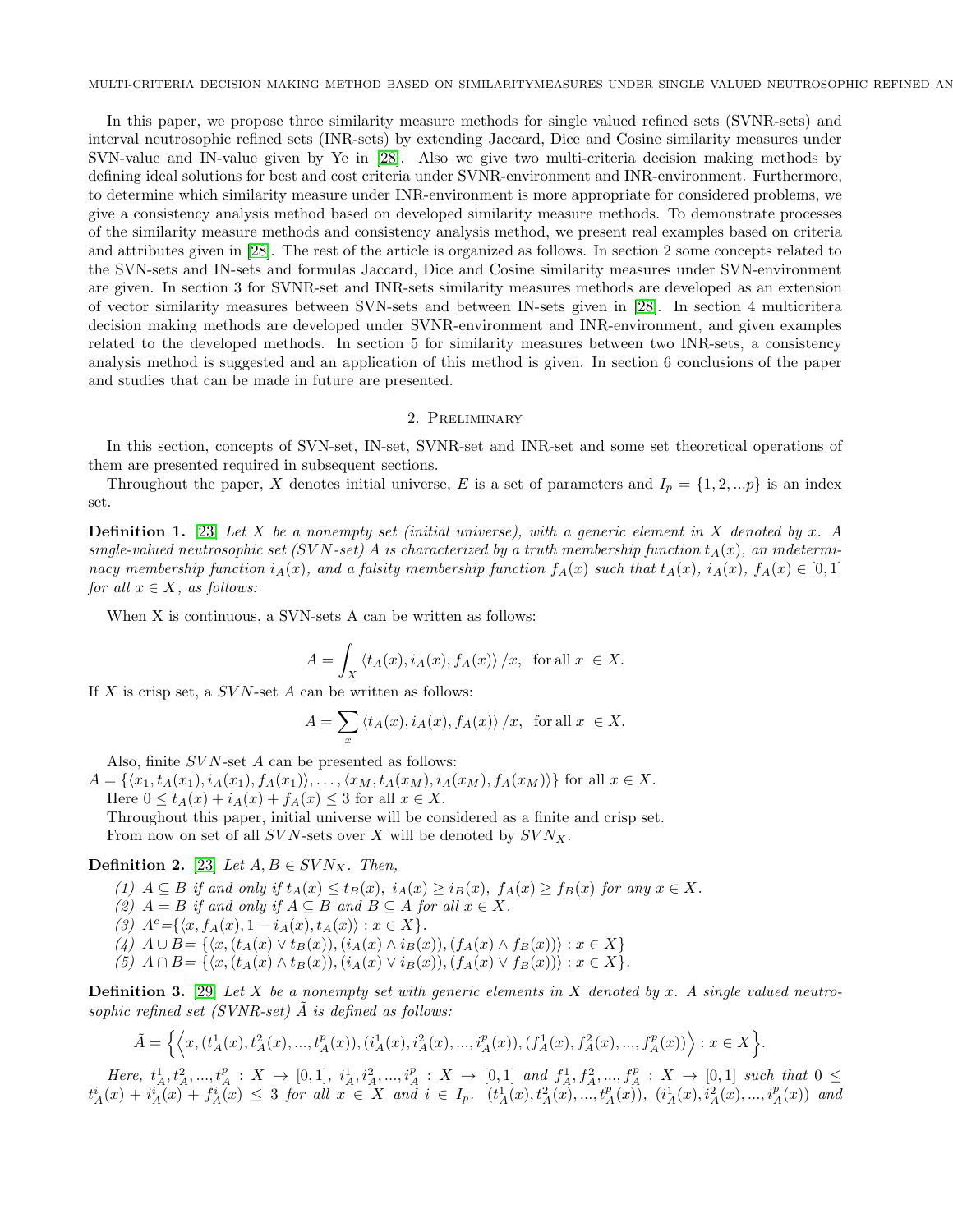In this paper, we propose three similarity measure methods for single valued refined sets (SVNR-sets) and interval neutrosophic refined sets (INR-sets) by extending Jaccard, Dice and Cosine similarity measures under SVN-value and IN-value given by Ye in [\[28\]](#page-14-8). Also we give two multi-criteria decision making methods by defining ideal solutions for best and cost criteria under SVNR-environment and INR-environment. Furthermore, to determine which similarity measure under INR-environment is more appropriate for considered problems, we give a consistency analysis method based on developed similarity measure methods. To demonstrate processes of the similarity measure methods and consistency analysis method, we present real examples based on criteria and attributes given in [\[28\]](#page-14-8). The rest of the article is organized as follows. In section 2 some concepts related to the SVN-sets and IN-sets and formulas Jaccard, Dice and Cosine similarity measures under SVN-environment are given. In section 3 for SVNR-set and INR-sets similarity measures methods are developed as an extension of vector similarity measures between SVN-sets and between IN-sets given in [\[28\]](#page-14-8). In section 4 multicritera decision making methods are developed under SVNR-environment and INR-environment, and given examples related to the developed methods. In section 5 for similarity measures between two INR-sets, a consistency analysis method is suggested and an application of this method is given. In section 6 conclusions of the paper and studies that can be made in future are presented.

### 2. Preliminary

In this section, concepts of SVN-set, IN-set, SVNR-set and INR-set and some set theoretical operations of them are presented required in subsequent sections.

Throughout the paper, X denotes initial universe, E is a set of parameters and  $I_p = \{1, 2, ...p\}$  is an index set.

Definition 1. [\[23\]](#page-14-2) *Let* X *be a nonempty set (initial universe), with a generic element in* X *denoted by* x*. A*  $single-valued\ neutroophic\ set\ (SVN-set) \ A\ is\ characterized\ by\ a\ truth\ membership\ function\ t_A(x),\ an\ indeterminant\$ *nacy membership function*  $i_A(x)$ *, and a falsity membership function*  $f_A(x)$  *such that*  $t_A(x)$ *,*  $i_A(x)$ *,*  $f_A(x) \in [0,1]$ *for all*  $x \in X$ *, as follows:* 

When X is continuous, a SVN-sets A can be written as follows:

$$
A = \int_X \left\langle t_A(x), i_A(x), f_A(x) \right\rangle / x, \text{ for all } x \in X.
$$

If  $X$  is crisp set, a  $SVN$ -set  $A$  can be written as follows:

$$
A=\sum_x \left\langle t_A(x), i_A(x), f_A(x)\right\rangle/x, \text{ for all } x \in X.
$$

Also, finite  $SVN$ -set  $A$  can be presented as follows:

 $A = \{\langle x_1, t_A(x_1), i_A(x_1), f_A(x_1) \rangle, \ldots, \langle x_M, t_A(x_M), i_A(x_M), f_A(x_M) \rangle\}$  for all  $x \in X$ . Here  $0 \leq t_A(x) + i_A(x) + f_A(x) \leq 3$  for all  $x \in X$ . Throughout this paper, initial universe will be considered as a finite and crisp set.

From now on set of all  $SVN$ -sets over X will be denoted by  $SVN_X$ .

## **Definition 2.** [\[23\]](#page-14-2) *Let*  $A, B \in SVN_X$ *. Then,*

- (1)  $A \subseteq B$  *if and only if*  $t_A(x) \le t_B(x)$ ,  $i_A(x) \ge i_B(x)$ ,  $f_A(x) \ge f_B(x)$  *for any*  $x \in X$ *.*
- *(2)*  $A = B$  *if and only if*  $A \subseteq B$  *and*  $B \subseteq A$  *for all*  $x \in X$ *.*
- *(3)*  $A^c = \{ \langle x, f_A(x), 1 i_A(x), t_A(x) \rangle : x \in X \}.$
- $(4)$  *A* ∪ *B* = { $\langle x, (t_A(x) \vee t_B(x)), (i_A(x) \wedge i_B(x)), (f_A(x) \wedge f_B(x)) \rangle : x \in X$ }
- $(5)$   $A \cap B = \{ \langle x, (t_A(x) \land t_B(x)), (i_A(x) \lor i_B(x)), (f_A(x) \lor f_B(x)) \rangle : x \in X \}.$

Definition 3. [\[29\]](#page-14-7) *Let* X *be a nonempty set with generic elements in* X *denoted by* x*. A single valued neutro*sophic refined set  $(SVNR-set)$   $\tilde{A}$  is defined as follows:

$$
\tilde{A} = \left\{ \left\langle x, (t_A^1(x), t_A^2(x), ..., t_A^p(x)), (i_A^1(x), i_A^2(x), ..., i_A^p(x)), (f_A^1(x), f_A^2(x), ..., f_A^p(x)) \right\rangle : x \in X \right\}.
$$

 $Here, t_A^1, t_A^2, ..., t_A^p : X \to [0,1], i_A^1, i_A^2, ..., i_A^p : X \to [0,1]$  and  $f_A^1, f_A^2, ..., f_A^p : X \to [0,1]$  such that  $0 \leq$  $t_A^i(x) + i_A^i(x) + f_A^i(x) \leq 3$  for all  $x \in X$  and  $i \in I_p$ .  $(t_A^1(x), t_A^2(x), ..., t_A^p(x))$ ,  $(i_A^1(x), i_A^2(x), ..., i_A^p(x))$  and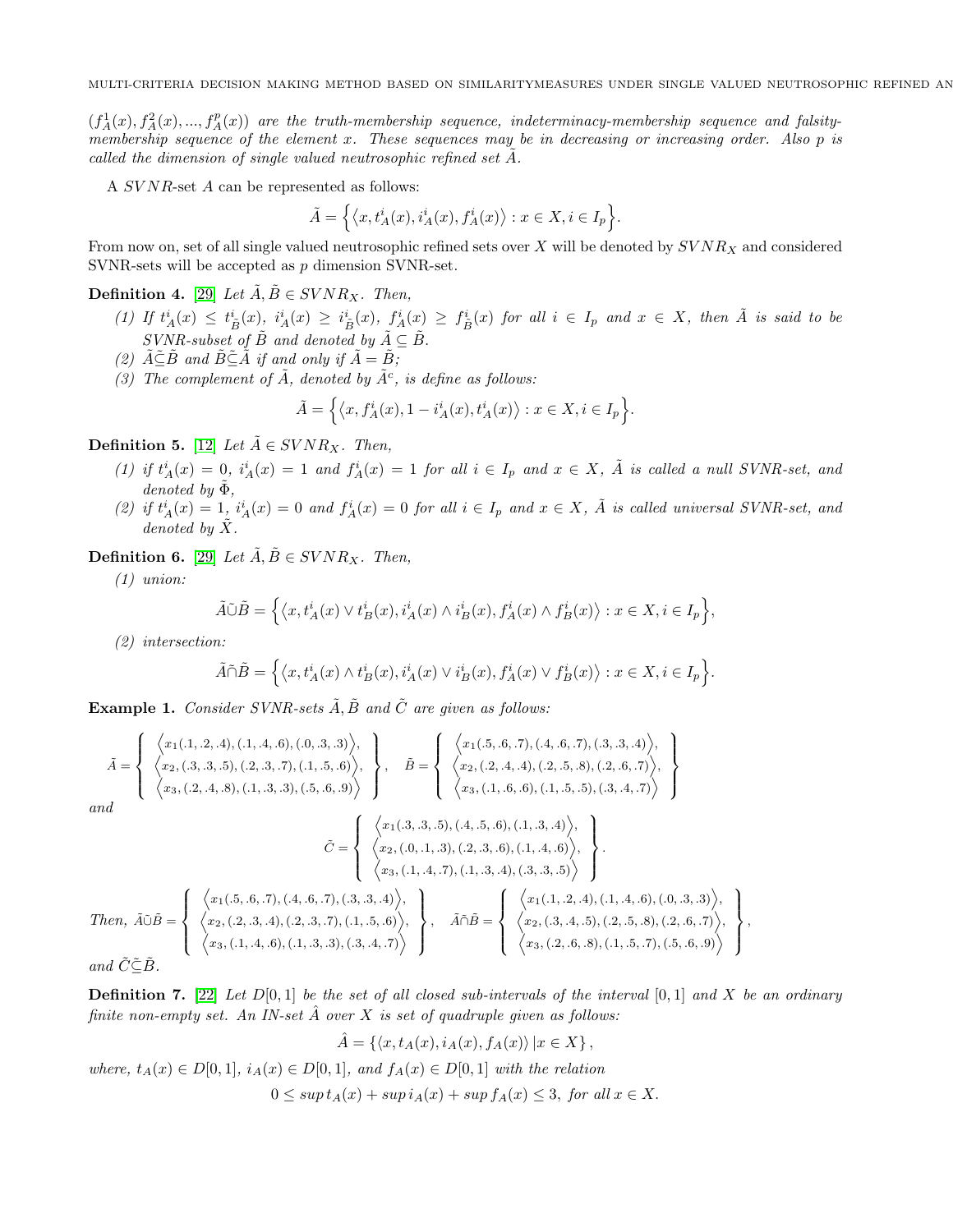$(f_A^1(x), f_A^2(x), ..., f_A^p(x))$  are the truth-membership sequence, indeterminacy-membership sequence and falsity*membership sequence of the element* x*. These sequences may be in decreasing or increasing order. Also* p *is called the dimension of single valued neutrosophic refined set* A.

A SVNR-set A can be represented as follows:

$$
\tilde{A} = \Big\{ \big\langle x, t_A^i(x), i_A^i(x), f_A^i(x) \big\rangle : x \in X, i \in I_p \Big\}.
$$

From now on, set of all single valued neutrosophic refined sets over  $X$  will be denoted by  $SVNR_X$  and considered SVNR-sets will be accepted as p dimension SVNR-set.

**Definition 4.** [\[29\]](#page-14-7) *Let*  $\tilde{A}, \tilde{B} \in SVNR_X$ . *Then,* 

- $(1)$  If  $t^i_A(x) \leq t^i_{\tilde{B}}(x)$ ,  $i^i_A(x) \geq i^i_{\tilde{B}}(x)$ ,  $f^i_A(x) \geq f^i_{\tilde{B}}(x)$  for all  $i \in I_p$  and  $x \in X$ , then  $\tilde{A}$  is said to be *SVNR-subset of*  $\tilde{B}$  *and denoted by*  $\tilde{A} \subseteq \tilde{B}$ .
- *(2)*  $\tilde{A}\tilde{\subseteq}\tilde{B}$  *and*  $\tilde{B}\tilde{\subseteq}\tilde{A}$  *if and only if*  $\tilde{A}=\tilde{B}$ *;*
- (3) The complement of  $\tilde{A}$ *, denoted by*  $\tilde{A}^c$ *, is define as follows:*

$$
\tilde{A} = \Big\{ \big\langle x, f_A^i(x), 1 - i_A^i(x), t_A^i(x) \big\rangle : x \in X, i \in I_p \Big\}.
$$

**Definition 5.** [\[12\]](#page-13-16) *Let*  $\tilde{A} \in SVNR_X$ *. Then,* 

- (1) if  $t_A^i(x) = 0$ ,  $i_A^i(x) = 1$  and  $f_A^i(x) = 1$  for all  $i \in I_p$  and  $x \in X$ ,  $\tilde{A}$  is called a null SVNR-set, and  $denoted by \Phi$ *,*
- (2) if  $t_A^i(x) = 1$ ,  $i_A^i(x) = 0$  and  $f_A^i(x) = 0$  for all  $i \in I_p$  and  $x \in X$ ,  $\tilde{A}$  is called universal SVNR-set, and *denoted by*  $\tilde{X}$ *.*

**Definition 6.** [\[29\]](#page-14-7) *Let*  $\tilde{A}, \tilde{B} \in SVNR_X$ . *Then,* 

*(1) union:*

$$
\tilde{A}\tilde{\cup}\tilde{B} = \left\{ \left\langle x, t_A^i(x) \vee t_B^i(x), i_A^i(x) \wedge i_B^i(x), f_A^i(x) \wedge f_B^i(x) \right\rangle : x \in X, i \in I_p \right\},\
$$

*(2) intersection:*

$$
\tilde{A}\tilde{\cap}\tilde{B} = \left\{ \left\langle x, t_A^i(x) \wedge t_B^i(x), i_A^i(x) \vee i_B^i(x), f_A^i(x) \vee f_B^i(x) \right\rangle : x \in X, i \in I_p \right\}.
$$

<span id="page-3-0"></span>**Example 1.** *Consider SVNR-sets*  $\tilde{A}$ ,  $\tilde{B}$  and  $\tilde{C}$  are given as follows:

$$
\tilde{A} = \begin{cases}\n\langle x_1(.1, .2, .4), (.1, .4, .6), (.0, .3, .3)\rangle, \\
\langle x_2, (.3, .3, .5), (.2, .3, .7), (.1, .5, .6)\rangle, \\
\langle x_3, (.2, .4, .8), (.1, .3, .3), (.5, .6, .9)\rangle\n\end{cases}, \quad \tilde{B} = \begin{cases}\n\langle x_1(.5, .6, .7), (.4, .6, .7), (.3, .3, .4)\rangle, \\
\langle x_2, (.2, .4, .4), (.2, .5, .8), (.2, .6, .7)\rangle, \\
\langle x_3, (.1, .6, .6), (.1, .5, .5), (.3, .4, .7)\rangle\n\end{cases}
$$
\nand\n
$$
\tilde{C} = \begin{cases}\n\langle x_1(.3, .3, .5), (.4, .5, .6), (.1, .3, .4)\rangle, \\
\langle x_2, (.0, .1, .3), (.2, .3, .6), (.1, .4, .6)\rangle, \\
\langle x_3, (.1, .4, .7), (.1, .3, .4), (.3, .3, .5)\rangle\n\end{cases}
$$
\nThen,  $\tilde{A} \tilde{D} \tilde{B} = \begin{cases}\n\langle x_1(.5, .6, .7), (.4, .6, .7), (.3, .3, .4)\rangle, \\
\langle x_3(.1, .4, .7), (.1, .3, .4), (.3, .3, .5)\rangle\n\end{cases}$ ,  $\tilde{A} \tilde{D} \tilde{B} = \begin{cases}\n\langle x_1(.1, .2, .4), (.1, .4, .6), (.0, .3, .3)\rangle, \\
\langle x_2(.2, .3, .4), (.2, .3, .7), (.1, .5, .6)\rangle, \\
\langle x_3(.1, .4, .6), (.1, .3, .3), (.3, .4, .7)\rangle\n\end{cases}$ ,  $\tilde{A} \tilde{D} \tilde{B} = \begin{cases}\n\langle x_1(.1, .2, .4), (.1, .4, .6), (.0, .3, .3)\rangle, \\
\langle x_2(.2, .3, .4), (.2, .3, .7), (.1,$ 

*and*  $C ⊆ B$ *.* 

Definition 7. [\[22\]](#page-14-1) *Let* D[0, 1] *be the set of all closed sub-intervals of the interval* [0, 1] *and* X *be an ordinary finite non-empty set. An IN-set* Aˆ *over* X *is set of quadruple given as follows:*

,

$$
\hat{A} = \{ \langle x, t_A(x), i_A(x), f_A(x) \rangle \, | x \in X \},
$$

*where,*  $t_A(x) \in D[0,1]$ *,*  $i_A(x) \in D[0,1]$ *, and*  $f_A(x) \in D[0,1]$  *with the relation* 

$$
0 \le \sup t_A(x) + \sup t_A(x) + \sup f_A(x) \le 3, \text{ for all } x \in X.
$$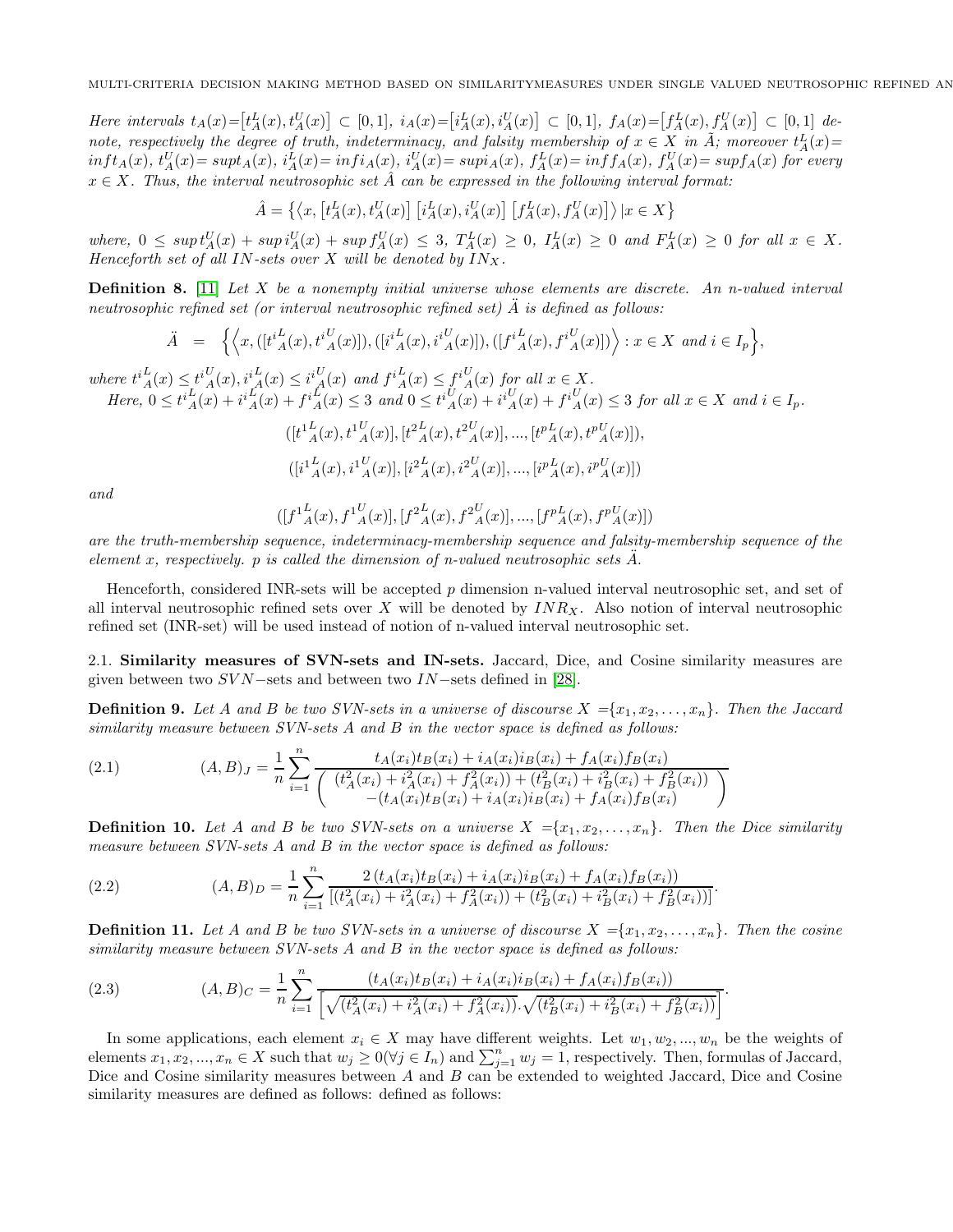$Here \text{ intervals } t_A(x) = [t_A^L(x), t_A^U(x)] \subset [0, 1], i_A(x) = [i_A^L(x), i_A^U(x)] \subset [0, 1], f_A(x) = [f_A^L(x), f_A^U(x)] \subset [0, 1] \text{ de-}$ *note, respectively the degree of truth, indeterminacy, and falsity membership of*  $x \in X$  *in*  $\tilde{A}$ *; moreover*  $t_A^L(x)$ =  $\inf t_A(x), t_A^U(x) = \sup t_A(x), i_A^L(x) = \inf t_A(x), i_A^U(x) = \sup t_A(x), f_A^L(x) = \inf f_A(x), f_A^U(x) = \sup f_A(x)$  for every  $x \in X$ . Thus, the interval neutrosophic set  $\hat{A}$  can be expressed in the following interval format:

 $\hat{A} = \left\{ \left\langle x, \left[ t_A^L(x), t_A^U(x) \right] \left[ i_A^L(x), i_A^U(x) \right] \left[ f_A^L(x), f_A^U(x) \right] \right\rangle | x \in X \right\}$ 

 $where, \ 0 \leq sup t_A^U(x) + sup i_A^U(x) + sup f_A^U(x) \leq 3, \ T_A^L(x) \geq 0, \ I_A^L(x) \geq 0 \ and \ F_A^L(x) \geq 0 \ for \ all \ x \in X.$ *Henceforth set of all* IN*-sets over* X *will be denoted by* INX*.*

Definition 8. [\[11\]](#page-13-8) *Let* X *be a nonempty initial universe whose elements are discrete. An n-valued interval neutrosophic refined set (or interval neutrosophic refined set)* A¨ *is defined as follows:*

$$
\ddot{A} = \left\{ \left\langle x, ([t^{i}_{A}(x), t^{i}_{A}(x)]), ([i^{i}_{A}(x), i^{i}_{A}(x)]), ([f^{i}_{A}(x), f^{i}_{A}(x)]) \right\rangle : x \in X \text{ and } i \in I_{p} \right\},\
$$

 $where t<sup>i</sup><sub>A</sub>(x) \le t<sup>i</sup><sub>A</sub>(x), i<sup>i</sup><sub>A</sub>(x) \le i<sup>i</sup><sub>A</sub>(x)$  and  $f<sup>i</sup><sub>A</sub>(x) \le f<sup>i</sup><sub>A</sub>(x)$  for all  $x \in X$ .  $Here, \ 0 \leq t^{i}_{A}(x) + i^{i}_{A}(x) + f^{i}_{A}(x) \leq 3 \ and \ 0 \leq t^{i}_{A}(x) + i^{i}_{A}(x) + f^{i}_{A}(x) \leq 3 \ for \ all \ x \in X \ and \ i \in I_{p}.$  $([t^1{}_A^L(x),t^1{}_A^U(x)],[t^2{}_A^L(x),t^2{}_A^U(x)],...,[t^p{}_A^L(x),t^p{}_A^U(x)]),$  $([i_{\hspace{5pt}A}^{1L}(x),i_{\hspace{5pt}A}^{1U}(x)],[i_{\hspace{5pt}A}^{2L}(x),i_{\hspace{5pt}A}^{2U}(x)],...,[i_{\hspace{5pt}A}^{pL}(x),i_{\hspace{5pt}A}^{pU}(x)])$ 

*and*

$$
([f^{1}{}^L_A(x),f^{1}{}^U_A(x)],[f^{2}{}^L_A(x),f^{2}{}^U_A(x)],...,[f^{p}{}^L_A(x),f^{p}{}^U_A(x)])
$$

*are the truth-membership sequence, indeterminacy-membership sequence and falsity-membership sequence of the element* x, respectively. p *is called the dimension of n-valued neutrosophic sets*  $A$ .

Henceforth, considered INR-sets will be accepted p dimension n-valued interval neutrosophic set, and set of all interval neutrosophic refined sets over X will be denoted by  $INR_X$ . Also notion of interval neutrosophic refined set (INR-set) will be used instead of notion of n-valued interval neutrosophic set.

2.1. Similarity measures of SVN-sets and IN-sets. Jaccard, Dice, and Cosine similarity measures are given between two  $SVN$ –sets and between two  $IN$ –sets defined in [\[28\]](#page-14-8).

**Definition 9.** Let A and B be two SVN-sets in a universe of discourse  $X = \{x_1, x_2, \ldots, x_n\}$ . Then the Jaccard *similarity measure between SVN-sets* A *and* B *in the vector space is defined as follows:*

<span id="page-4-0"></span>(2.1) 
$$
(A,B)_J = \frac{1}{n} \sum_{i=1}^n \frac{t_A(x_i)t_B(x_i) + i_A(x_i)i_B(x_i) + f_A(x_i)f_B(x_i)}{\left( \frac{(t_A^2(x_i) + i_A^2(x_i) + f_A^2(x_i)) + (t_B^2(x_i) + i_B^2(x_i) + f_B^2(x_i))}{-(t_A(x_i)t_B(x_i) + i_A(x_i)i_B(x_i) + f_A(x_i)f_B(x_i)} \right)}
$$

**Definition 10.** Let A and B be two SVN-sets on a universe  $X = \{x_1, x_2, \ldots, x_n\}$ . Then the Dice similarity *measure between SVN-sets* A *and* B *in the vector space is defined as follows:*

<span id="page-4-1"></span>(2.2) 
$$
(A,B)_D = \frac{1}{n} \sum_{i=1}^n \frac{2(t_A(x_i)t_B(x_i) + i_A(x_i)i_B(x_i) + f_A(x_i)f_B(x_i))}{[(t_A^2(x_i) + i_A^2(x_i) + f_A^2(x_i)) + (t_B^2(x_i) + i_B^2(x_i) + f_B^2(x_i))]}.
$$

**Definition 11.** Let A and B be two SVN-sets in a universe of discourse  $X = \{x_1, x_2, \ldots, x_n\}$ . Then the cosine *similarity measure between SVN-sets* A *and* B *in the vector space is defined as follows:*

<span id="page-4-2"></span>(2.3) 
$$
(A,B)_C = \frac{1}{n} \sum_{i=1}^n \frac{(t_A(x_i)t_B(x_i) + i_A(x_i)i_B(x_i) + f_A(x_i)f_B(x_i))}{\left[\sqrt{(t_A^2(x_i) + i_A^2(x_i) + f_A^2(x_i))} \cdot \sqrt{(t_B^2(x_i) + i_B^2(x_i) + f_B^2(x_i))}\right]}.
$$

In some applications, each element  $x_i \in X$  may have different weights. Let  $w_1, w_2, ..., w_n$  be the weights of elements  $x_1, x_2, ..., x_n \in X$  such that  $w_j \geq 0$   $(\forall j \in I_n)$  and  $\sum_{j=1}^n w_j = 1$ , respectively. Then, formulas of Jaccard, Dice and Cosine similarity measures between A and B can be extended to weighted Jaccard, Dice and Cosine similarity measures are defined as follows: defined as follows: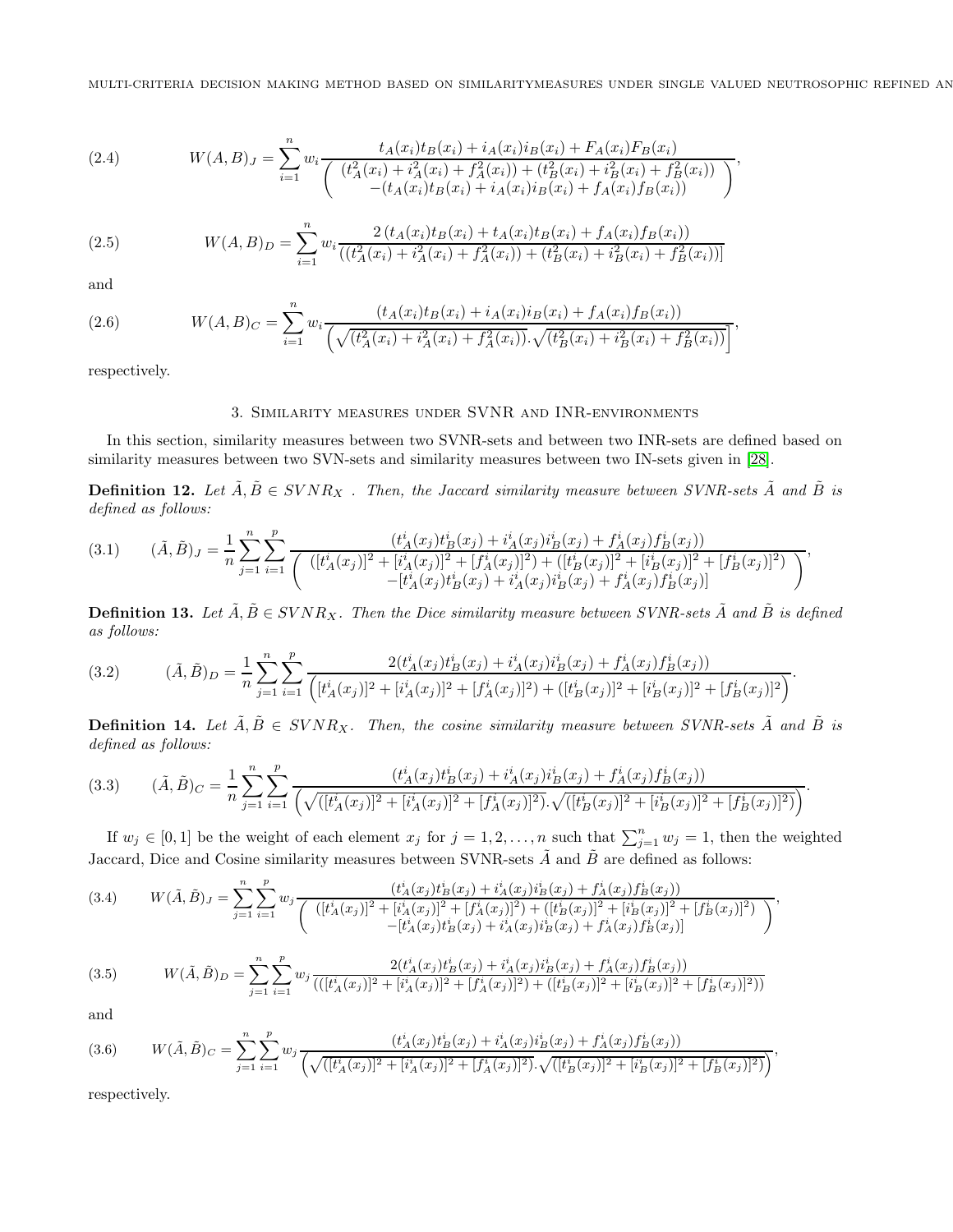<span id="page-5-6"></span>(2.4) 
$$
W(A, B)_{J} = \sum_{i=1}^{n} w_{i} \frac{t_{A}(x_{i})t_{B}(x_{i}) + i_{A}(x_{i})i_{B}(x_{i}) + F_{A}(x_{i})F_{B}(x_{i})}{\left(\frac{(t_{A}^{2}(x_{i}) + i_{A}^{2}(x_{i}) + f_{A}^{2}(x_{i})) + (t_{B}^{2}(x_{i}) + i_{B}^{2}(x_{i}) + f_{B}^{2}(x_{i}))}{-(t_{A}(x_{i})t_{B}(x_{i}) + i_{A}(x_{i})i_{B}(x_{i}) + f_{A}(x_{i})f_{B}(x_{i}))}\right)},
$$

<span id="page-5-7"></span>(2.5) 
$$
W(A,B)_{D} = \sum_{i=1}^{n} w_{i} \frac{2(t_{A}(x_{i})t_{B}(x_{i}) + t_{A}(x_{i})t_{B}(x_{i}) + f_{A}(x_{i})f_{B}(x_{i}))}{((t_{A}^{2}(x_{i}) + i_{A}^{2}(x_{i}) + f_{A}^{2}(x_{i})) + (t_{B}^{2}(x_{i}) + i_{B}^{2}(x_{i}) + f_{B}^{2}(x_{i}))]}
$$

and

(2.6) 
$$
W(A,B)_{C} = \sum_{i=1}^{n} w_{i} \frac{(t_{A}(x_{i})t_{B}(x_{i}) + i_{A}(x_{i})i_{B}(x_{i}) + f_{A}(x_{i})f_{B}(x_{i}))}{\left(\sqrt{(t_{A}^{2}(x_{i}) + i_{A}^{2}(x_{i}) + f_{A}^{2}(x_{i}))} \cdot \sqrt{(t_{B}^{2}(x_{i}) + i_{B}^{2}(x_{i}) + f_{B}^{2}(x_{i}))}\right]},
$$

respectively.

## <span id="page-5-8"></span>3. Similarity measures under SVNR and INR-environments

In this section, similarity measures between two SVNR-sets and between two INR-sets are defined based on similarity measures between two SVN-sets and similarity measures between two IN-sets given in [\[28\]](#page-14-8).

**Definition 12.** Let  $\tilde{A}, \tilde{B} \in SVNR_X$  *. Then, the Jaccard similarity measure between SVNR-sets*  $\tilde{A}$  *and*  $\tilde{B}$  *is defined as follows:*

<span id="page-5-0"></span>
$$
(3.1) \qquad (\tilde{A},\tilde{B})_J = \frac{1}{n} \sum_{j=1}^n \sum_{i=1}^p \frac{(t_A^i(x_j)t_B^i(x_j) + i_A^i(x_j)t_B^i(x_j) + f_A^i(x_j)f_B^i(x_j))}{\left(\left([t_A^i(x_j)]^2 + [i_A^i(x_j)]^2 + [f_A^i(x_j)]^2\right) + ([t_B^i(x_j)]^2 + [i_B^i(x_j)]^2 + [f_B^i(x_j)]^2\right)} - \frac{t_A^i(x_J)t_B^i(x_J) + t_A^i(x_J)t_B^i(x_J) + t_A^i(x_J)t_B^i(x_J)}{-t_A^i(x_J)t_B^i(x_J) + t_A^i(x_J)f_B^i(x_J)}.
$$

**Definition 13.** Let  $\tilde{A}, \tilde{B} \in SVNR_X$ . Then the Dice similarity measure between SVNR-sets  $\tilde{A}$  and  $\tilde{B}$  is defined *as follows:*

<span id="page-5-1"></span>
$$
(3.2) \qquad (\tilde{A}, \tilde{B})_D = \frac{1}{n} \sum_{j=1}^n \sum_{i=1}^p \frac{2(t_A^i(x_j)t_B^i(x_j) + i_A^i(x_j)t_B^i(x_j) + f_A^i(x_j)f_B^i(x_j))}{\left([t_A^i(x_j)]^2 + [i_A^i(x_j)]^2 + [f_A^i(x_j)]^2\right) + ([t_B^i(x_j)]^2 + [i_B^i(x_j)]^2 + [f_B^i(x_j)]^2\right)}.
$$

**Definition 14.** Let  $\tilde{A}, \tilde{B} \in SVNR_X$ . Then, the cosine similarity measure between SVNR-sets  $\tilde{A}$  and  $\tilde{B}$  is *defined as follows:*

<span id="page-5-2"></span>
$$
(3.3) \qquad (\tilde{A}, \tilde{B})_C = \frac{1}{n} \sum_{j=1}^n \sum_{i=1}^p \frac{(t_A^i(x_j)t_B^i(x_j) + i_A^i(x_j)t_B^i(x_j) + f_A^i(x_j)f_B^i(x_j))}{\left(\sqrt{([t_A^i(x_j)]^2 + [i_A^i(x_j)]^2 + [f_A^i(x_j)]^2}\right) \cdot \sqrt{([t_B^i(x_j)]^2 + [i_B^i(x_j)]^2 + [f_B^i(x_j)]^2)}}.
$$

If  $w_j \in [0,1]$  be the weight of each element  $x_j$  for  $j = 1, 2, \ldots, n$  such that  $\sum_{j=1}^n w_j = 1$ , then the weighted Jaccard, Dice and Cosine similarity measures between SVNR-sets  $\tilde{A}$  and  $\tilde{B}$  are defined as follows:

<span id="page-5-3"></span>
$$
(3.4) \qquad W(\tilde{A},\tilde{B})_J = \sum_{j=1}^n \sum_{i=1}^p w_j \frac{(t_A^i(x_j)t_B^i(x_j) + i_A^i(x_j)t_B^i(x_j) + f_A^i(x_j)f_B^i(x_j))}{\left(\frac{([t_A^i(x_j)]^2 + [i_A^i(x_j)]^2 + [f_A^i(x_j)]^2 + ([t_B^i(x_j)]^2 + [i_B^i(x_j)]^2 + [i_B^i(x_j)]^2 + [f_B^i(x_j)]^2\right)}{-[t_A^i(x_j)t_B^i(x_j) + i_A^i(x_j)t_B^i(x_j) + f_A^i(x_j)f_B^i(x_j)]},
$$

<span id="page-5-4"></span>(3.5) 
$$
W(\tilde{A}, \tilde{B})_D = \sum_{j=1}^n \sum_{i=1}^p w_j \frac{2(t_A^i(x_j)t_B^i(x_j) + i_A^i(x_j)i_B^i(x_j) + f_A^i(x_j)f_B^i(x_j))}{(([t_A^i(x_j)]^2 + [i_A^i(x_j)]^2 + [f_A^i(x_j)]^2) + ([t_B^i(x_j)]^2 + [i_B^i(x_j)]^2 + [f_B^i(x_j)]^2))}
$$

and

<span id="page-5-5"></span>
$$
(3.6) \t W(\tilde{A}, \tilde{B})_C = \sum_{j=1}^n \sum_{i=1}^p w_j \frac{(t_A^i(x_j)t_B^i(x_j) + i_A^i(x_j)t_B^i(x_j) + f_A^i(x_j)f_B^i(x_j))}{\left(\sqrt{([t_A^i(x_j)]^2 + [i_A^i(x_j)]^2 + [f_A^i(x_j)]^2}\right), \sqrt{([t_B^i(x_j)]^2 + [i_B^i(x_j)]^2 + [f_B^i(x_j)]^2}}\,,
$$

respectively.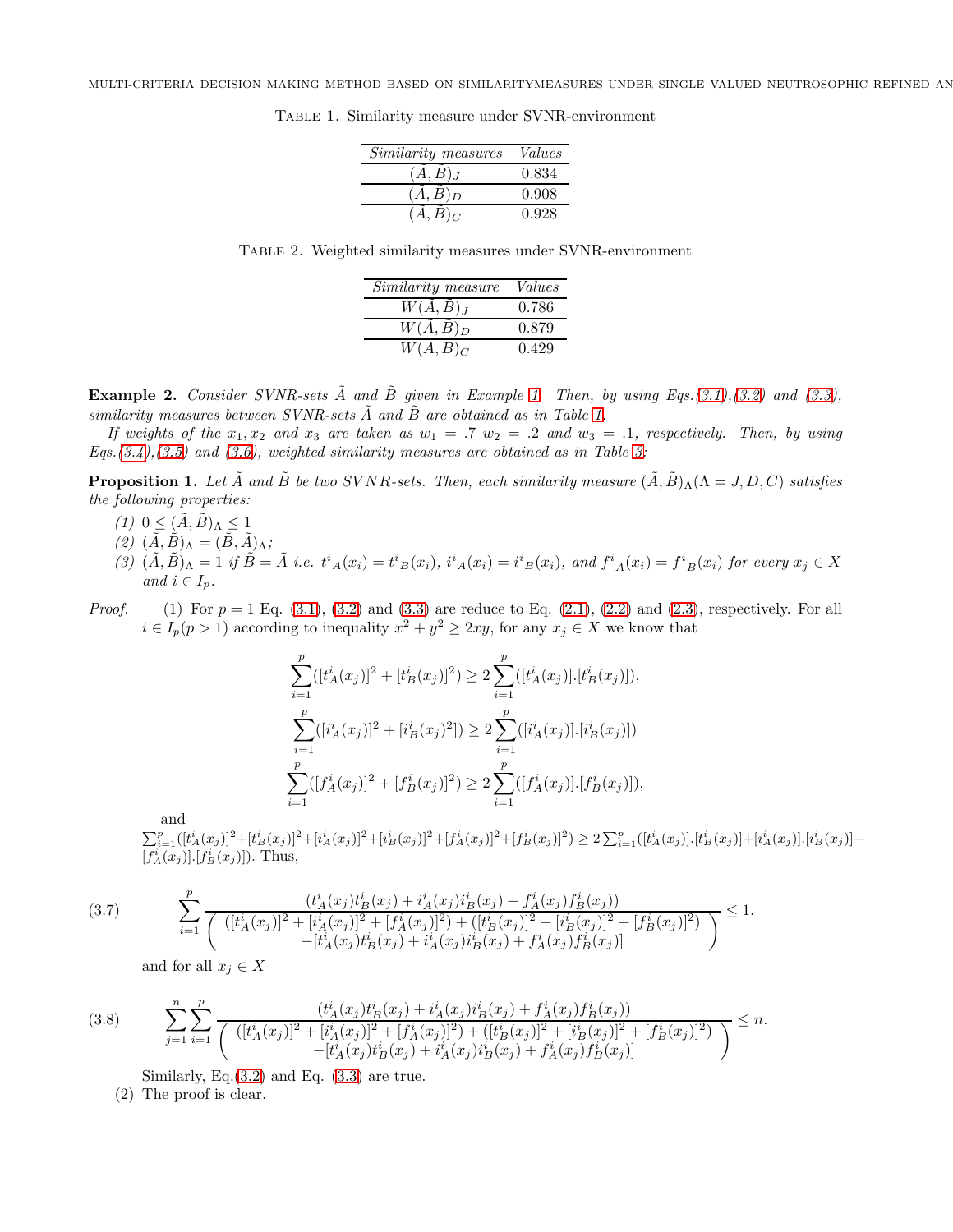<span id="page-6-0"></span>

| Similarity measures | Values |
|---------------------|--------|
| (A, B) <sub>J</sub> | 0.834  |
| $(A, B)_D$          | 0.908  |
| $(A, B)_C$          | 0.928  |

Table 1. Similarity measure under SVNR-environment

Table 2. Weighted similarity measures under SVNR-environment

| Similarity measure               | Values |
|----------------------------------|--------|
| $W(\overline{A},\overline{B})_J$ | 0.786  |
| $W(\ddot{A}, \ddot{B})_D$        | 0.879  |
| $W(\tilde{A},\tilde{B})_C$       | 0.429  |

**Example 2.** *Consider SVNR-sets*  $\tilde{A}$  *and*  $\tilde{B}$  *given in Example* [1.](#page-3-0) Then, by using Eqs.[\(3.1\)](#page-5-0),[\(3.2\)](#page-5-1) and [\(3.3\)](#page-5-2), *similarity measures between SVNR-sets*  $\tilde{A}$  *and*  $\tilde{B}$  *are obtained as in Table [1.](#page-6-0)* 

*If weights of the*  $x_1, x_2$  *and*  $x_3$  *are taken as*  $w_1 = .7$   $w_2 = .2$  *and*  $w_3 = .1$ *, respectively. Then, by using Eqs.[\(3.4\)](#page-5-3),[\(3.5\)](#page-5-4) and [\(3.6\)](#page-5-5), weighted similarity measures are obtained as in Table [3:](#page-10-0)*

<span id="page-6-1"></span>**Proposition 1.** Let  $\tilde{A}$  and  $\tilde{B}$  be two SVNR-sets. Then, each similarity measure  $(\tilde{A}, \tilde{B})_{\Lambda}(\Lambda = J, D, C)$  satisfies *the following properties:*

- $(1)$   $0 \leq (\tilde{A}, \tilde{B})$ <sub> $\Lambda \leq 1$ </sub>
- $(2)$   $(\tilde{A}, \tilde{B})$  $\Lambda = (\tilde{B}, \tilde{A})$  $\Lambda$ ;
- $(3)$   $(\tilde{A}, \tilde{B})_A = 1$  if  $\tilde{B} = \tilde{A}$  i.e.  $t^i{}_A(x_i) = t^i{}_B(x_i)$ ,  $i^i{}_A(x_i) = i^i{}_B(x_i)$ , and  $f^i{}_A(x_i) = f^i{}_B(x_i)$  for every  $x_j \in X$ *and*  $i \in I_p$ *.*
- *Proof.* (1) For  $p = 1$  Eq. [\(3.1\)](#page-5-0), [\(3.2\)](#page-5-1) and [\(3.3\)](#page-5-2) are reduce to Eq. [\(2.1\)](#page-4-0), [\(2.2\)](#page-4-1) and [\(2.3\)](#page-4-2), respectively. For all  $i \in I_p(p>1)$  according to inequality  $x^2 + y^2 \geq 2xy$ , for any  $x_j \in X$  we know that

$$
\sum_{i=1}^{p} ([t_A^i(x_j)]^2 + [t_B^i(x_j)]^2) \ge 2 \sum_{i=1}^{p} ([t_A^i(x_j)].[t_B^i(x_j)]),
$$
  

$$
\sum_{i=1}^{p} ([i_A^i(x_j)]^2 + [i_B^i(x_j)^2]) \ge 2 \sum_{i=1}^{p} ([i_A^i(x_j)].[i_B^i(x_j)])
$$
  

$$
\sum_{i=1}^{p} ([f_A^i(x_j)]^2 + [f_B^i(x_j)]^2) \ge 2 \sum_{i=1}^{p} ([f_A^i(x_j)].[f_B^i(x_j)]),
$$

and

 $\sum_{i=1}^p ([t_A^i(x_j)]^2 + [t_B^i(x_j)]^2 + [i_A^i(x_j)]^2 + [i_B^i(x_j)]^2 + [f_A^i(x_j)]^2 + [f_B^i(x_j)]^2) \geq 2 \sum_{i=1}^p ([t_A^i(x_j)] \cdot [t_B^i(x_j)] + [i_A^i(x_j)] \cdot [i_B^i(x_j)] + [i_A^i(x_j)] \cdot [i_A^i(x_j)] + [i_A^i(x_j)] \cdot [i_A^i(x_j)]$  $[f_A^i(x_j)]. [f_B^i(x_j)]$ . Thus,

$$
(3.7) \qquad \qquad \sum_{i=1}^{p} \frac{(t_A^i(x_j)t_B^i(x_j) + i_A^i(x_j)t_B^i(x_j) + f_A^i(x_j)f_B^i(x_j))}{\left(\left([t_A^i(x_j)]^2 + [t_A^i(x_j)]^2 + [f_A^i(x_j)]^2\right) + \left([t_B^i(x_j)]^2 + [t_B^i(x_j)]^2 + [f_B^i(x_j)]^2\right)\right)} \leq 1.
$$

and for all  $x_j \in X$ 

$$
(3.8) \qquad \sum_{j=1}^{n} \sum_{i=1}^{p} \frac{(t_A^i(x_j)t_B^i(x_j) + i_A^i(x_j)t_B^i(x_j) + f_A^i(x_j)f_B^i(x_j))}{\left( [t_A^i(x_j)]^2 + [i_A^i(x_j)]^2 + [f_A^i(x_j)]^2 \right) + \left( [t_B^i(x_j)]^2 + [i_B^i(x_j)]^2 + [f_B^i(x_j)]^2 \right)} \leq n.
$$

Similarly, Eq. $(3.2)$  and Eq.  $(3.3)$  are true.

(2) The proof is clear.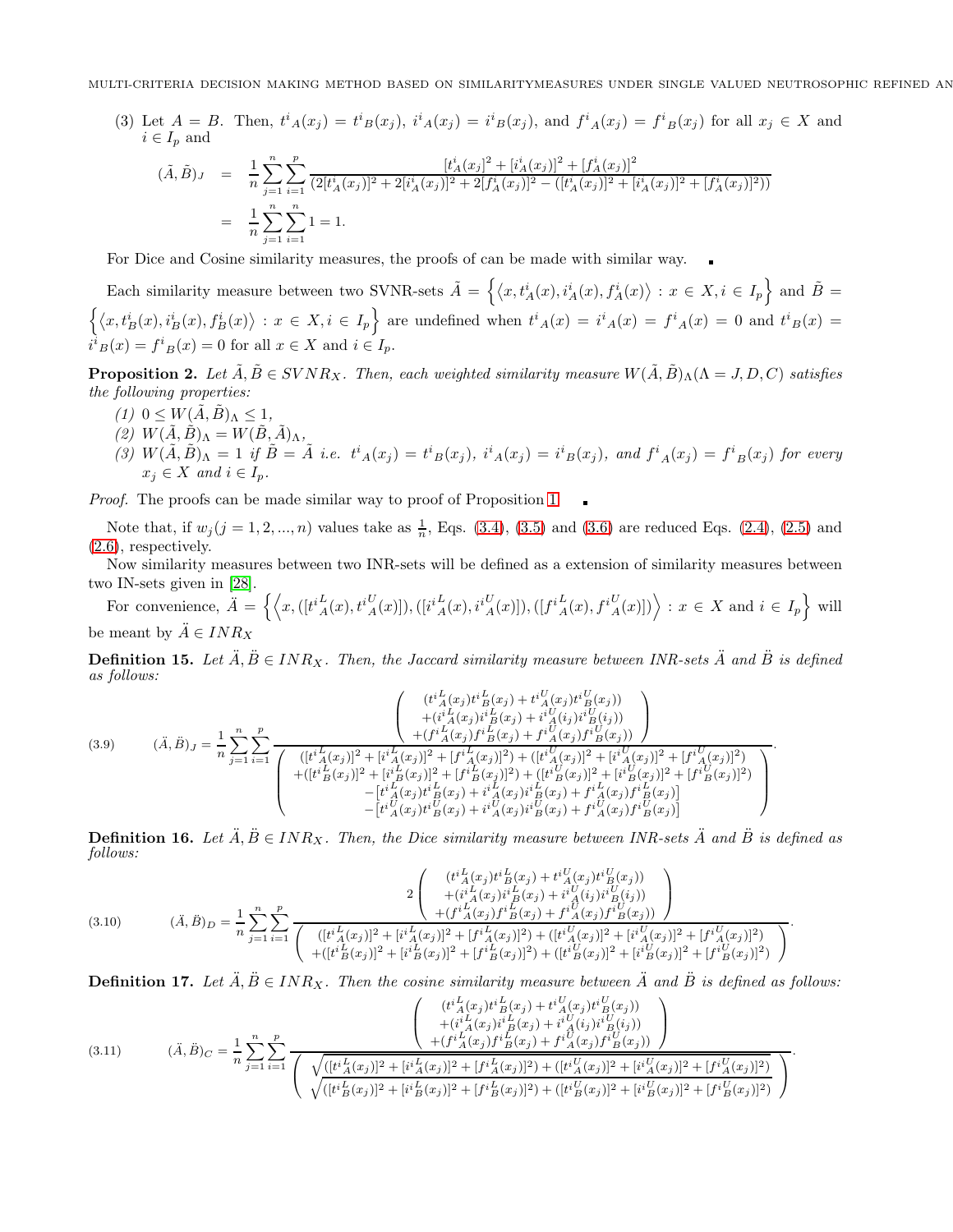(3) Let  $A = B$ . Then,  $t^i_A(x_j) = t^i_B(x_j)$ ,  $i^i_A(x_j) = i^i_B(x_j)$ , and  $f^i_A(x_j) = f^i_B(x_j)$  for all  $x_j \in X$  and  $i \in I_n$  and

$$
(\tilde{A}, \tilde{B})_J = \frac{1}{n} \sum_{j=1}^n \sum_{i=1}^p \frac{[t_A^i(x_j)]^2 + [t_A^i(x_j)]^2 + [f_A^i(x_j)]^2}{(2[t_A^i(x_j)]^2 + 2[t_A^i(x_j)]^2 + 2[f_A^i(x_j)]^2 - ([t_A^i(x_j)]^2 + [t_A^i(x_j)]^2 + [f_A^i(x_j)]^2))}
$$
  
= 
$$
\frac{1}{n} \sum_{j=1}^n \sum_{i=1}^n 1 = 1.
$$

For Dice and Cosine similarity measures, the proofs of can be made with similar way.

Each similarity measure between two SVNR-sets  $\tilde{A} = \left\{ \langle x, t_A^i(x), t_A^i(x), f_A^i(x) \rangle : x \in X, i \in I_p \right\}$  and  $\tilde{B} =$  $\left\{\langle x,t_B^i(x),t_B^i(x),f_B^i(x)\rangle : x \in X, i \in I_p\right\}$  are undefined when  $t^i{}_A(x) = i^i{}_A(x) = f^i{}_A(x) = 0$  and  $t^i{}_B(x) = 0$  $i^i{}_B(x) = f^i{}_B(x) = 0$  for all  $x \in X$  and  $i \in I_p$ .

**Proposition 2.** Let  $\tilde{A}, \tilde{B} \in SVNR_X$ . Then, each weighted similarity measure  $W(\tilde{A}, \tilde{B})_\Lambda (\Lambda = J, D, C)$  satisfies *the following properties:*

- $(1)$   $0 \leq W(A, B)_{\Lambda} \leq 1$ ,
- $(2) W(\tilde{A}, \tilde{B})$ <sub>Λ</sub> =  $W(\tilde{B}, \tilde{A})$ <sub>Λ</sub>,
- $(3) W(\tilde{A}, \tilde{B})$ <sub> $\Lambda$ </sub> = 1 if  $\tilde{B} = \tilde{A}$  *i.e.*  $t^i_A(x_j) = t^i_B(x_j)$ ,  $i^i_A(x_j) = i^i_B(x_j)$ , and  $f^i_A(x_j) = f^i_B(x_j)$  for every  $x_i \in X$  *and*  $i \in I_p$ *.*

*Proof.* The proofs can be made similar way to proof of Proposition [1.](#page-6-1)

Note that, if  $w_j (j = 1, 2, ..., n)$  values take as  $\frac{1}{n}$ , Eqs. [\(3.4\)](#page-5-3), [\(3.5\)](#page-5-4) and [\(3.6\)](#page-5-5) are reduced Eqs. [\(2.4\)](#page-5-6), [\(2.5\)](#page-5-7) and [\(2.6\)](#page-5-8), respectively.

Now similarity measures between two INR-sets will be defined as a extension of similarity measures between two IN-sets given in [\[28\]](#page-14-8).

For convenience,  $\ddot{A} = \left\{ \left\langle x, ([t^i_A(x), t^i_A(x)]), ([i^i_A(x), i^i_A(x)]), ([f^i_A(x), f^i_A(x)] ) \right\rangle : x \in X \text{ and } i \in I_p \right\}$  will be meant by  $\ddot{A} \in INR_X$ 

**Definition 15.** Let  $\ddot{A}, \ddot{B} \in INR_X$ . Then, the Jaccard similarity measure between INR-sets  $\ddot{A}$  and  $\ddot{B}$  is defined *as follows:*

$$
(3.9) \qquad (\ddot{A}, \ddot{B})_J = \frac{1}{n} \sum_{j=1}^n \sum_{i=1}^p \frac{\left( [t^i \frac{L}{A}(x_j)t^i \frac{L}{B}(x_j) + i^i \frac{U}{A}(x_j)t^i \frac{U}{B}(x_j)) \right)}{ \left( [t^i \frac{L}{A}(x_j)]^2 + [t^i \frac{L}{A}(x_j)]^2 + [t^i \frac{L}{A}(x_j)]^2 \right)} \right)} \qquad \left( [t^i \frac{L}{A}(x_j)]^2 + [t^i \frac{L}{A}(x_j)]^2 + [t^i \frac{L}{A}(x_j)]^2 + [t^i \frac{L}{A}(x_j)]^2 + [t^i \frac{L}{A}(x_j)]^2 + [t^i \frac{L}{A}(x_j)]^2 + [t^i \frac{L}{A}(x_j)]^2 + [t^i \frac{L}{A}(x_j)]^2 + [t^i \frac{L}{A}(x_j)]^2 + [t^i \frac{L}{A}(x_j)]^2 + [t^i \frac{L}{B}(x_j)]^2 + [t^i \frac{L}{B}(x_j)]^2 + [t^i \frac{L}{B}(x_j)]^2 + [t^i \frac{L}{B}(x_j)]^2 + [t^i \frac{L}{B}(x_j)]^2 + [t^i \frac{L}{B}(x_j)]^2 + [t^i \frac{L}{B}(x_j)]^2 + [t^i \frac{L}{B}(x_j)]^2 + [t^i \frac{L}{B}(x_j)]^2 \right)} - [t^i \frac{L}{A}(x_j)t^i \frac{L}{B}(x_j) + i^i \frac{L}{A}(x_j)t^i \frac{L}{B}(x_j) + i^i \frac{L}{A}(x_j)t^i \frac{L}{B}(x_j)]
$$

**Definition 16.** Let  $\ddot{A}, \ddot{B} \in INR_X$ . Then, the Dice similarity measure between INR-sets  $\ddot{A}$  and  $\ddot{B}$  is defined as *follows:*

$$
(3.10) \qquad (A, \ddot{B})_D = \frac{1}{n} \sum_{j=1}^n \sum_{i=1}^p \frac{1}{\left( \begin{array}{c} ([t^i{}_A^L(x_j)]^2 + [i^i{}_A^L(x_j)]^2 + [i^i{}_A^L(x_j)]^i{}_B^L(x_j) + i^i{}_A^U(i_j)]^i{}_B^U(j) \end{array} \right)}{((t^i{}_A^L(x_j))^2 + [i^i{}_A^L(x_j)]^i{}_B^L(x_j) + i^i{}_A^U(i_j)]^i{}_B^U(j) + \frac{1}{n} \left( \begin{array}{c} ([t^i{}_A^L(x_j)]^2 + [i^i{}_A^L(x_j)]^2 + [i^i{}_A^L(x_j)]^i{}_B^U(j) + [i^i{}_A^U(x_j)]^i{}_B^U(j) \end{array} \right)}{((t^i{}_A^L(x_j))^2 + [i^i{}_B^L(x_j)]^i{}_B^U(j) + \frac{1}{n} \left( \begin{array}{c} ([t^i{}_A^L(x_j)]^2 + [i^i{}_A^L(x_j)]^2 + [i^i{}_A^L(x_j)]^i{}_B^U(j) + [i^i{}_A^U(x_j)]^i{}_B^U(j) \end{array} \right)}{((t^i{}_B^L(x_j))^2 + [i^i{}_B^U(x_j)]^i{}_B^U(j) + \frac{1}{n} \left( \begin{array}{c} ([t^i{}_A^L(x_j)]^2 + [i^i{}_A^L(x_j)]^i{}_B^U(j) + [i^i{}_A^U(x_j)]^i{}_B^U(j) + [i^i{}_B^U(x_j)]^i{}_B^U(j) \end{array} \right)}{((t^i{}_B^L(x_j))^2 + [i^i{}_B^U(x_j)]^i{}_B^U(j) + \frac{1}{n} \left( \begin{array}{c} ([t^i{}_A^L(x_j)]^2 + [i^i{}_A^L(x_j)]^i{}_B^U(j) + [i^i{}_A^L(x_j)]^i{}_B^U(j) + [i^i{}_A^L(x_j)]^i{}_B^U(j) \end{array} \right)}{((t^i{}_B^L(x_j))^2 + [i^i{}_B^L(x_j)]^i{}_B^U(j) + \frac{1}{n} \left( \begin{array}{c} ([t^i{}_A^L(x_j)]^2 + [i^i{}_A^L(x_j)]^i{}_B^U(j) + [i
$$

**Definition 17.** Let  $\ddot{A}, \ddot{B} \in INR_X$ . Then the cosine similarity measure between  $\ddot{A}$  and  $\ddot{B}$  is defined as follows:

$$
(3.11) \qquad (\ddot{A}, \ddot{B})_C = \frac{1}{n} \sum_{j=1}^n \sum_{i=1}^p \frac{\left( \begin{array}{c} (t^i_{A}(x_j)t^i_{B}(x_j) + t^i_{A}(x_j)t^i_{B}(x_j)) \\ + (i^i_{A}(x_j)t^i_{B}(x_j) + i^i_{A}(x_j)t^i_{B}(i_j)) \\ + (f^i_{A}(x_j)t^i_{B}(x_j) + i^i_{A}(x_j)t^i_{B}(i_j)) \end{array} \right)}{\left( \begin{array}{c} \sqrt{([t^i_{A}(x_j)]^2 + [i^i_{A}(x_j)]^2 + [f^i_{A}(x_j)]^2 + [f^i_{A}(x_j)]^2 + [i^i_{A}(x_j)]^2 + [i^i_{A}(x_j)]^2 + [i^i_{A}(x_j)]^2 + [f^i_{A}(x_j)]^2 + [f^i_{B}(x_j)]^2 + [f^i_{B}(x_j)]^2 + [f^i_{B}(x_j)]^2 + [f^i_{B}(x_j)]^2 + [f^i_{B}(x_j)]^2 + [f^i_{B}(x_j)]^2 \end{array} \right)}.
$$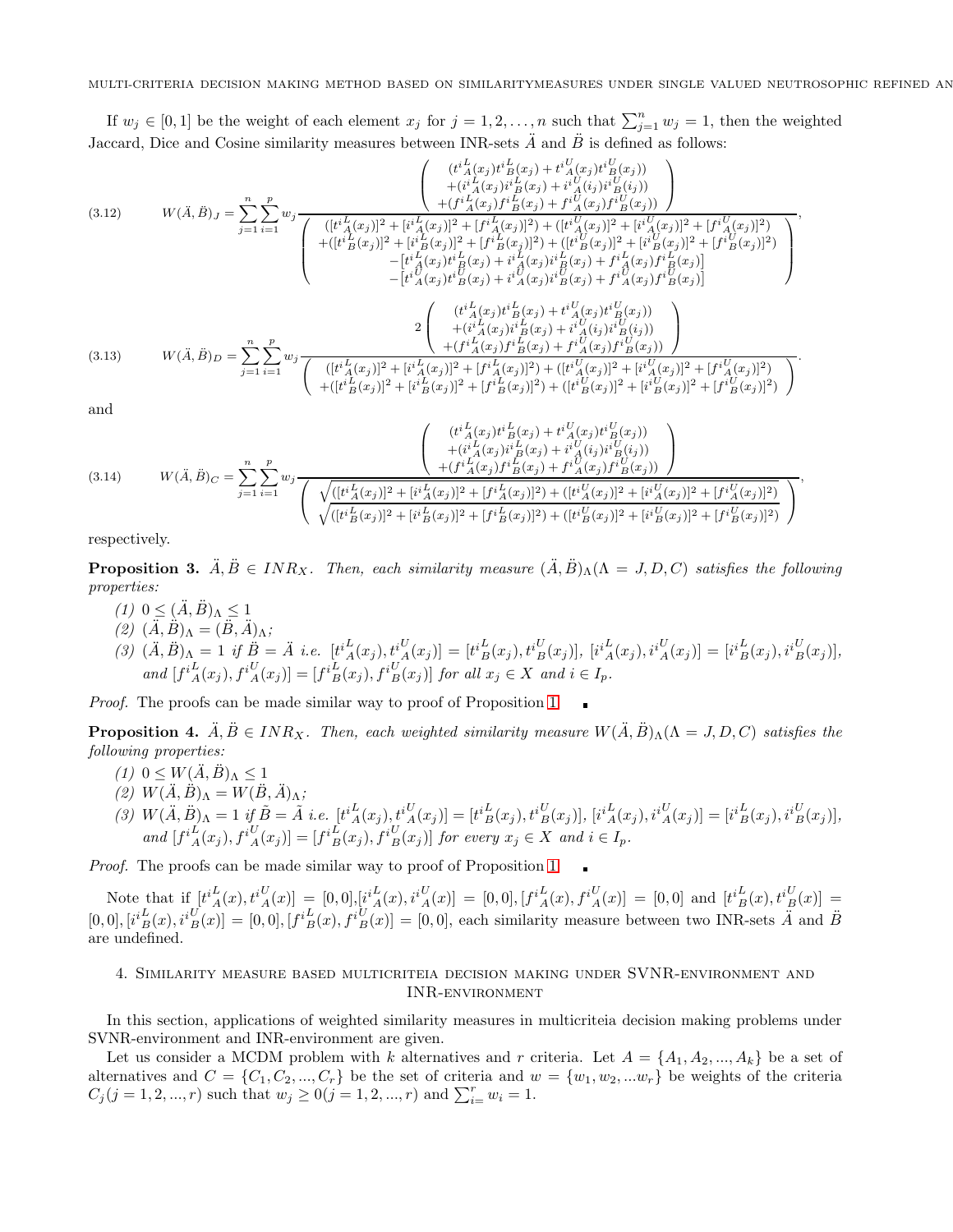If  $w_j \in [0,1]$  be the weight of each element  $x_j$  for  $j = 1, 2, \ldots, n$  such that  $\sum_{j=1}^n w_j = 1$ , then the weighted Jaccard, Dice and Cosine similarity measures between INR-sets  $\ddot{A}$  and  $\ddot{B}$  is defined as follows:

<span id="page-8-0"></span>
$$
(3.12) \tW(\ddot{A}, \ddot{B})_{J} = \sum_{j=1}^{n} \sum_{i=1}^{p} w_{j} \frac{\left( [t^{i} {L}_{A}(x_{j}) t^{i} {L}_{B}(x_{j}) + i^{i} {L}_{A}(x_{j}) t^{i} {L}_{B}(x_{j}) + i^{i} {L}_{A}(x_{j}) t^{i} {L}_{B}(x_{j})] \right)}{ \left( [t^{i} {L}_{B}(x_{j})]^{2} + [t^{i} {L}_{A}(x_{j}) f^{i} {L}_{B}(x_{j})]^{2} + [t^{i} {L}_{A}(x_{j}) f^{i} {L}_{B}(x_{j})]^{2} + [t^{i} {L}_{A}(x_{j})]^{2} + [t^{i} {L}_{A}(x_{j})]^{2} + [t^{i} {L}_{A}(x_{j})]^{2} + [t^{i} {L}_{A}(x_{j})]^{2} + [t^{i} {L}_{A}(x_{j})]^{2} + [t^{i} {L}_{A}(x_{j})]^{2} + [t^{i} {L}_{A}(x_{j})]^{2} + [t^{i} {L}_{A}(x_{j})]^{2} + [t^{i} {L}_{A}(x_{j})]^{2} + [t^{i} {L}_{B}(x_{j})]^{2} + [t^{i} {L}_{B}(x_{j})]^{2} + [t^{i} {L}_{B}(x_{j})]^{2} + [t^{i} {L}_{B}(x_{j})]^{2} + [t^{i} {L}_{B}(x_{j})]^{2} \right)}
$$
  
\t
$$
- [t^{i} {L}_{A}(x_{j}) t^{i} {L}_{B}(x_{j}) + i^{i} {L}_{A}(x_{j}) t^{i} {L}_{B}(x_{j}) + f^{i} {L}_{A}(x_{j}) t^{i} {L}_{B}(x_{j})] \right)
$$
  
\t(3.13) 
$$
W(\ddot{A}, \ddot{B})_{D} = \sum_{j=1}^{n} \sum_{i=1}^{p} w_{j} \frac{\left( [t^{i} {L}_{A}(x_{j}) t^{i} {L}_{B}(x_{j}) + i^{i} {L}_{A}(x_{j}) t^{i} {L}_{B}(x_{j}) + f^{i} {L}_{A}(x_{j}) t^{i} {L}_{B}(x_{j})] \right)}{ \left( [t^{i} {L}_{A}(x_{j}) t^{i
$$

<span id="page-8-2"></span><span id="page-8-1"></span>
$$
(3.14) \t W(\ddot{A}, \ddot{B})_C = \sum_{j=1}^n \sum_{i=1}^p w_j \frac{\left( \frac{+ (i_A^i(x_j)i_B^i(x_j) + i_A^i(x_j)i_B^i(x_j))}{+ (f_i^i(x_j)f_i^i(x_j) + f_i^j(x_j)f_i^i(x_j))} \right)}{\left( \sqrt{\frac{([t_i^i(x_j)]^2 + [i_i^i(x_j)]^2 + [f_i^i(x_j)]^2 + [f_i^i(x_j)]^2 + ([t_i^i(x_j)]^2 + [i_i^i(x_j)]^2 + [i_i^i(x_j)]^2 + [f_i^i(x_j)]^2 + [f_i^i(x_j)]^2 + [f_i^i(x_j)]^2 + [f_i^i(x_j)]^2 + [f_i^i(x_j)]^2 + [f_i^i(x_j)]^2 + [f_i^i(x_j)]^2 + [f_i^i(x_j)]^2 + [f_i^i(x_j)]^2 \right)}
$$

respectively.

**Proposition 3.**  $\ddot{A}, \ddot{B} \in INR_X$ . Then, each similarity measure  $(\ddot{A}, \ddot{B})_\Lambda(\Lambda = J, D, C)$  satisfies the following *properties:*

- $(1)$   $0 \leq (\ddot{A}, \ddot{B})$ <sub>Λ</sub> $\leq 1$
- $(2)$   $(\overline{A}, \overrightarrow{B})$  $\Lambda = (\overline{B}, \overline{A})$  $\Lambda$ ;
- $(3)$   $(\ddot{A}, \ddot{B})_{\Lambda} = 1$  if  $\ddot{B} = \ddot{A}$  i.e.  $[t^{iL}_{A}(x_{j}), t^{iU}_{A}(x_{j})] = [t^{iL}_{B}(x_{j}), t^{iU}_{B}(x_{j})],$   $[i^{iL}_{A}(x_{j}), i^{iU}_{A}(x_{j})] = [i^{iL}_{B}(x_{j}), i^{iU}_{B}(x_{j})],$  $and \ [f^{i}_{A}(x_j), f^{i}_{A}(x_j)] = [f^{i}_{B}(x_j), f^{i}_{B}(x_j)] \ for \ all \ x_j \in X \ and \ i \in I_p.$

*Proof.* The proofs can be made similar way to proof of Proposition [1.](#page-6-1)

**Proposition 4.**  $\ddot{A}, \ddot{B} \in INR_X$ . Then, each weighted similarity measure  $W(\ddot{A}, \ddot{B})_\Lambda(\Lambda = J, D, C)$  satisfies the *following properties:*

- $(1)$   $0 \leq W(\ddot{A}, \ddot{B})$ <sub>Λ</sub> $\leq 1$
- $(2) W(\ddot{A}, \ddot{B})$ <sub>Λ</sub> =  $W(\ddot{B}, \ddot{A})$ <sub>Λ</sub>;
- $(3)$   $W(\ddot{A}, \ddot{B})_{\Lambda} = 1$  if  $\tilde{B} = \tilde{A}$  *i.e.*  $[t^{i}_{A}(x_{j}), t^{i}_{A}(x_{j})] = [t^{i}_{B}(x_{j}), t^{i}_{B}(x_{j})],$   $[i^{i}_{A}(x_{j}), i^{i}_{A}(x_{j})] = [i^{i}_{B}(x_{j}), i^{i}_{B}(x_{j})],$  $and \ [f^{i}_{A}(x_{j}), f^{i}_{A}(x_{j})] = [f^{i}_{B}(x_{j}), f^{i}_{B}(x_{j})]$  *for every*  $x_{j} \in X$  *and*  $i \in I_{p}$ *.*

*Proof.* The proofs can be made similar way to proof of Proposition [1.](#page-6-1)

Note that if  $[t_A^i(x), t_A^i(y)] = [0,0], [i_A^i(x), i_A^i(y)] = [0,0], [f_A^i(x), f_A^i(y)] = [0,0]$  and  $[t_B^i(x), t_B^i(y)] = [0,0]$  $[0,0],[i_{B}^{i}](x),i_{B}^{i}(x)]=[0,0],[f_{B}^{i}](x),f_{B}^{i}(x)]=[0,0],$  each similarity measure between two INR-sets  $\ddot{A}$  and  $\ddot{B}$ are undefined.

## 4. Similarity measure based multicriteia decision making under SVNR-environment and INR-environment

In this section, applications of weighted similarity measures in multicriteia decision making problems under SVNR-environment and INR-environment are given.

Let us consider a MCDM problem with k alternatives and r criteria. Let  $A = \{A_1, A_2, ..., A_k\}$  be a set of alternatives and  $C = \{C_1, C_2, ..., C_r\}$  be the set of criteria and  $w = \{w_1, w_2, ... w_r\}$  be weights of the criteria  $C_j (j = 1, 2, ..., r)$  such that  $w_j \ge 0 (j = 1, 2, ..., r)$  and  $\sum_{i=1}^r w_i = 1$ .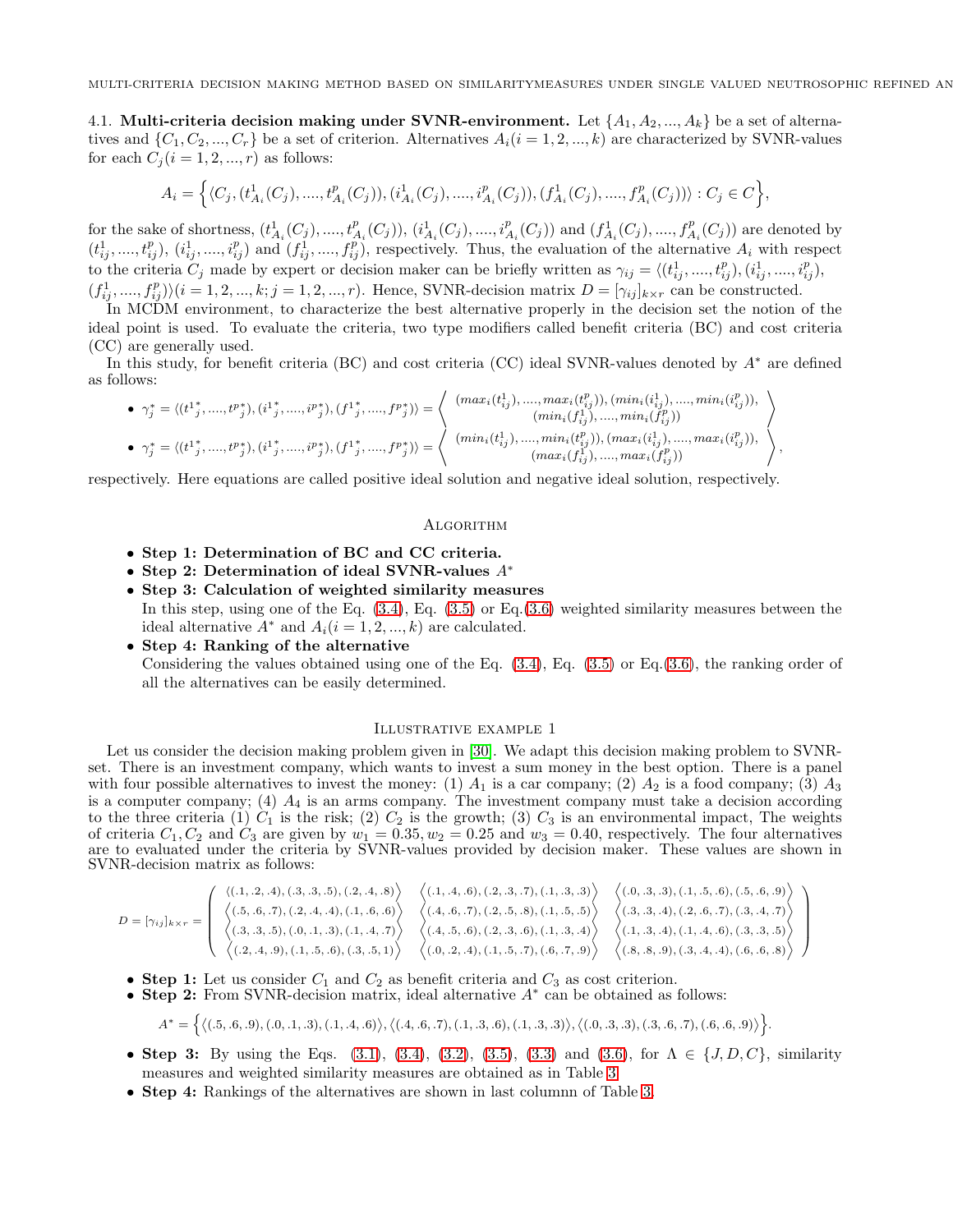4.1. Multi-criteria decision making under SVNR-environment. Let  $\{A_1, A_2, ..., A_k\}$  be a set of alternatives and  $\{C_1, C_2, ..., C_r\}$  be a set of criterion. Alternatives  $A_i(i = 1, 2, ..., k)$  are characterized by SVNR-values for each  $C_i$   $(i = 1, 2, ..., r)$  as follows:

$$
A_i = \left\{ \langle C_j, (t_{A_i}^1(C_j), ..., t_{A_i}^p(C_j)), (i_{A_i}^1(C_j), ..., i_{A_i}^p(C_j)), (f_{A_i}^1(C_j), ..., f_{A_i}^p(C_j)) \rangle : C_j \in C \right\},\
$$

for the sake of shortness,  $(t_{A_i}^1(C_j),...,t_{A_i}^p(C_j)), (i_{A_i}^1(C_j),...,i_{A_i}^p(C_j))$  and  $(f_{A_i}^1(C_j),...,f_{A_i}^p(C_j))$  are denoted by  $(t_{ij}^1, ..., t_{ij}^p), (i_{ij}^1, ..., i_{ij}^p)$  and  $(f_{ij}^1, ..., f_{ij}^p)$ , respectively. Thus, the evaluation of the alternative  $A_i$  with respect to the criteria  $C_j$  made by expert or decision maker can be briefly written as  $\gamma_{ij} = \langle (t_{ij}^1, ..., t_{ij}^p), (i_{ij}^1, ..., i_{ij}^p) \rangle$  $(f_{ij}^1, ..., f_{ij}^p) \rangle (i = 1, 2, ..., k; j = 1, 2, ..., r)$ . Hence, SVNR-decision matrix  $D = [\gamma_{ij}]_{k \times r}$  can be constructed.

In MCDM environment, to characterize the best alternative properly in the decision set the notion of the ideal point is used. To evaluate the criteria, two type modifiers called benefit criteria (BC) and cost criteria (CC) are generally used.

In this study, for benefit criteria (BC) and cost criteria (CC) ideal SVNR-values denoted by A<sup>∗</sup> are defined as follows:

$$
\bullet \ \ \gamma_j^* = \langle (t^1{}_j^*,....,t^p{}_j^*),(i^1{}_j^*,....,i^p{}_j^*),(f^1{}_j^*,....,f^p{}_j^*) \rangle = \left\langle \begin{array}{c} (max_i(t^1_{ij}),....,max_i(t^p_{ij})),(min_i(i^1_{ij}),....,min_i(i^p_{ij})), \\ (min_i(f^1_{ij}),....,min_i(f^p_{ij})) \end{array} \right\rangle
$$
  
\n
$$
\bullet \ \gamma_j^* = \langle (t^1{}_j^*,....,t^p{}_j^*),(i^1{}_j^*,....,i^p{}_j^*),(f^1{}_j^*,....,f^p{}_j^*) \rangle = \left\langle \begin{array}{c} (max_i(t^1_{ij}),....,max_i(t^p_{ij})),(min_i(t^p_{ij})) \\ (min_i(t^1_{ij}),....,min_i(t^p_{ij})),(max_i(i^1_{ij}),....,max_i(i^p_{ij})), \\ (max_i(f^1_{ij}),....,max_i(t^p_{ij})) \end{array} \right\rangle,
$$

respectively. Here equations are called positive ideal solution and negative ideal solution, respectively.

#### **ALGORITHM**

- Step 1: Determination of BC and CC criteria.
- Step 2: Determination of ideal SVNR-values A<sup>∗</sup>
- Step 3: Calculation of weighted similarity measures In this step, using one of the Eq. [\(3.4\)](#page-5-3), Eq. [\(3.5\)](#page-5-4) or Eq.[\(3.6\)](#page-5-5) weighted similarity measures between the ideal alternative  $A^*$  and  $A_i(i = 1, 2, ..., k)$  are calculated.
- Step 4: Ranking of the alternative

Considering the values obtained using one of the Eq.  $(3.4)$ , Eq.  $(3.5)$  or Eq. $(3.6)$ , the ranking order of all the alternatives can be easily determined.

## Illustrative example 1

Let us consider the decision making problem given in [\[30\]](#page-14-13). We adapt this decision making problem to SVNRset. There is an investment company, which wants to invest a sum money in the best option. There is a panel with four possible alternatives to invest the money: (1)  $A_1$  is a car company; (2)  $A_2$  is a food company; (3)  $A_3$ is a computer company;  $(4)$   $A_4$  is an arms company. The investment company must take a decision according to the three criteria (1)  $C_1$  is the risk; (2)  $C_2$  is the growth; (3)  $C_3$  is an environmental impact, The weights of criteria  $C_1, C_2$  and  $C_3$  are given by  $w_1 = 0.35, w_2 = 0.25$  and  $w_3 = 0.40$ , respectively. The four alternatives are to evaluated under the criteria by SVNR-values provided by decision maker. These values are shown in SVNR-decision matrix as follows:

$$
D = [\gamma_{ij}]_{k \times r} = \left( \begin{array}{ccc} \langle (.1, .2, .4), (.3, .3, .5), (.2, .4, .8) \rangle & \langle (.1, .4, .6), (.2, .3, .7), (.1, .3, .3) \rangle & \langle (.0, .3, .3), (.1, .5, .6), (.5, .6, .9) \rangle \\ \langle (.3, .3, .3, .5), (.0, .1, .3), (.1, .4, .7) \rangle & \langle (.4, .6, .7), (.2, .5, .8), (.1, .5, .5) \rangle & \langle (.3, .3, .4), (.2, .6, .7), (.3, .4, .7) \rangle \\ \langle (.3, .3, .3), (.0, .1, .3), (.1, .4, .7) \rangle & \langle (.4, .5, .6), (.2, .3, .6), (.1, .3, .4) \rangle & \langle (.1, .3, .4), (.1, .4, .6), (.3, .3, .5) \rangle \\ \langle (.2, .4, .9), (.1, .5, .6), (.3, .5, 1) \rangle & \langle (.0, .2, .4), (.1, .5, .7), (.6, .7, .9) \rangle & \langle (.8, .8, .9), (.3, .4, .4), (.6, .6, .8) \rangle \end{array} \right)
$$

- Step 1: Let us consider  $C_1$  and  $C_2$  as benefit criteria and  $C_3$  as cost criterion.
- Step 2: From SVNR-decision matrix, ideal alternative A<sup>∗</sup> can be obtained as follows:

$$
A^* = \{ \langle (.5, .6, .9), (.0, .1, .3), (.1, .4, .6) \rangle, \langle (.4, .6, .7), (.1, .3, .6), (.1, .3, .3) \rangle, \langle (.0, .3, .3), (.3, .6, .7), (.6, .6, .9) \rangle \}
$$

• Step 3: By using the Eqs.  $(3.1), (3.4), (3.2), (3.5), (3.3)$  $(3.1), (3.4), (3.2), (3.5), (3.3)$  $(3.1), (3.4), (3.2), (3.5), (3.3)$  $(3.1), (3.4), (3.2), (3.5), (3.3)$  $(3.1), (3.4), (3.2), (3.5), (3.3)$  $(3.1), (3.4), (3.2), (3.5), (3.3)$  $(3.1), (3.4), (3.2), (3.5), (3.3)$  $(3.1), (3.4), (3.2), (3.5), (3.3)$  and  $(3.6),$  for  $\Lambda \in \{J, D, C\}$ , similarity measures and weighted similarity measures are obtained as in Table [3](#page-10-0)

.

• Step 4: Rankings of the alternatives are shown in last column of Table [3.](#page-10-0)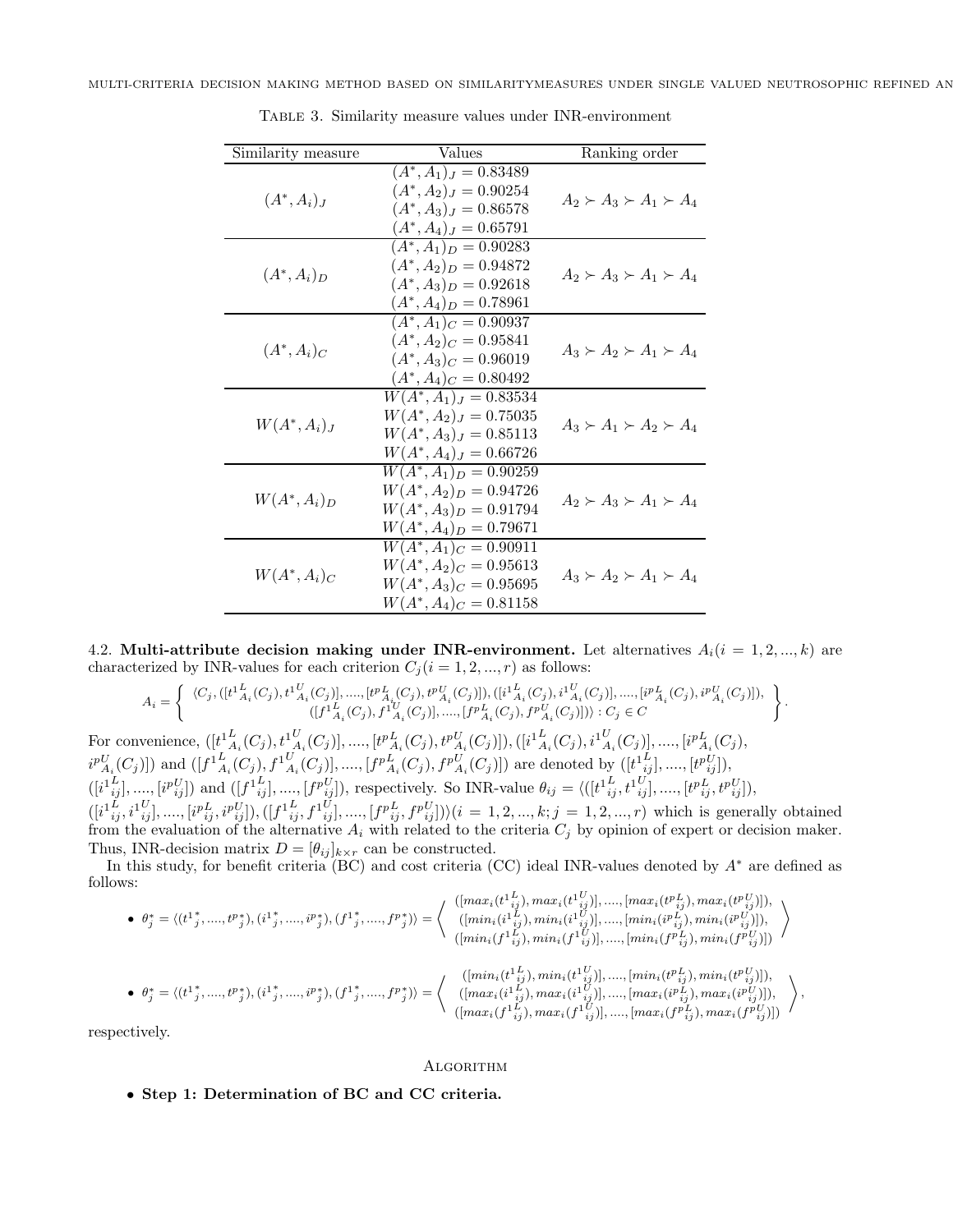| Similarity measure | Values                                                                                                         | Ranking order                       |
|--------------------|----------------------------------------------------------------------------------------------------------------|-------------------------------------|
| $(A^*,A_i)_J$      | $(A^*, A_1)_J = 0.83489$<br>$(A^*, A_2)_J = 0.90254$<br>$(A^*, A_3)_J = 0.86578$<br>$(A^*, A_4)_J = 0.65791$   | $A_2 \succ A_3 \succ A_1 \succ A_4$ |
| $(A^*,A_i)_D$      | $(A^*, A_1)_D = 0.90283$<br>$(A^*, A_2)_D = 0.94872$<br>$(A^*, A_3)_D = 0.92618$<br>$(A^*, A_4)_D = 0.78961$   | $A_2 \succ A_3 \succ A_1 \succ A_4$ |
| $(A^*,A_i)_C$      | $(A^*, A_1)_C = 0.90937$<br>$(A^*, A_2)_C = 0.95841$<br>$(A^*, A_3)_C = 0.96019$<br>$(A^*, A_4)_C = 0.80492$   | $A_3 \succ A_2 \succ A_1 \succ A_4$ |
| $W(A^*,A_i)_J$     | $W(A^*,A_1)_J=0.83534$<br>$W(A^*, A_2)_J = 0.75035$<br>$W(A^*,A_3)_J=0.85113$<br>$W(A^*, A_4)_J = 0.66726$     | $A_3 \succ A_1 \succ A_2 \succ A_4$ |
| $W(A^*,A_i)_D$     | $W(A^*,A_1)_D = 0.90259$<br>$W(A^*, A_2)_D = 0.94726$<br>$W(A^*,A_3)_D = 0.91794$<br>$W(A^*, A_4)_D = 0.79671$ | $A_2 \succ A_3 \succ A_1 \succ A_4$ |
| $W(A^*,A_i)_C$     | $W(A^*,A_1)_C=0.90911$<br>$W(A^*,A_2)_C = 0.95613$<br>$W(A^*,A_3)_C=0.95695$<br>$W(A^*,A_4)_C = 0.81158$       | $A_3 \succ A_2 \succ A_1 \succ A_4$ |

<span id="page-10-0"></span>Table 3. Similarity measure values under INR-environment

4.2. Multi-attribute decision making under INR-environment. Let alternatives  $A_i(i = 1, 2, ..., k)$  are characterized by INR-values for each criterion  $C_i$  ( $i = 1, 2, ..., r$ ) as follows:

$$
A_i = \left\{ \begin{array}{c} \langle C_j, ([t^{1L}_{A_i}(C_j), t^{1L}_{A_i}(C_j)], ..., [t^{pL}_{A_i}(C_j), t^{pL}_{A_i}(C_j)] ), ([i^{1L}_{A_i}(C_j), i^{1L}_{A_i}(C_j)], ..., [i^{pL}_{A_i}(C_j), i^{pL}_{A_i}(C_j)] ), \\ ([t^{1L}_{A_i}(C_j), f^{1L}_{A_i}(C_j)], ..., [t^{pL}_{A_i}(C_j), f^{pL}_{A_i}(C_j)] ) \rangle : C_j \in C \end{array} \right\}.
$$
  
venience, 
$$
([t^{1L}_{A_i}(C_j), t^{1L}_{A_i}(C_j)], ..., [t^{pL}_{A_i}(C_j), t^{pL}_{A_i}(C_j)] ), ([i^{1L}_{A_i}(C_j), i^{1L}_{A_i}(C_j)], ..., [i^{pL}_{A_i}(C_j),
$$

For con  $i^{p}L_{A_i}(C_j)$ ]) and  $([f^{1}L_{A_i}(C_j), f^{1}L_{A_i}(C_j)], \dots, [f^{p}L_{A_i}(C_j), f^{p}L_{A_i}(C_j)])$  are denoted by  $([t^{1}L_{ij}], \dots, [t^{p}L_{ij}]),$  $([i_{ij}^{1L}, \ldots, [i_{ij}^{pU}])$  and  $([f_{ij}^{1L}, \ldots, [f^{pU}_{ij}])$ , respectively. So INR-value  $\theta_{ij} = \langle ([t_{ij}^{1L}, t_{ij}^{U}], \ldots, [t_{ij}^{pL}, t_{ij}^{pU}])$ ,  $([i_{ij}^{1L}, i_{ij}^{U}], ..., [i_{ij}^{PL}, i_{ij}^{U}]), ([f_{ij}^{1L}, f_{ij}^{1U}], ..., [f_{ij}^{PL}, f_{ij}^{1U}])\rangle (i = 1, 2, ..., k; j = 1, 2, ..., r)$  which is generally obtained from the evaluation of the alternative  $A_i$  with related to the criteria  $C_j$  by opinion of expert or decision maker. Thus, INR-decision matrix  $D = [\theta_{ij}]_{k \times r}$  can be constructed.

In this study, for benefit criteria (BC) and cost criteria (CC) ideal INR-values denoted by A<sup>∗</sup> are defined as follows:  $\mathbf{r}$ 

$$
\begin{array}{ll}\bullet \ \ \theta_j^* = \langle \left(t^1{}_j^*,... ,t^p{}_j^*\right) , \left(i^1{}_j^*,... ,i^p{}_j^*\right) , \left(f^1{}_j^*,... ,f^p{}_j^*\right) \rangle = \left\langle \begin{array}{c} ([max_i(t^1{}_{ij}^L),max_i(t^1{}_{ij}^U)],...,[max_i(t^p{}_{ij}^L),max_i(t^p{}_{ij}^U)] ), \\ \left([min_i(t^1{}_{ij}^L),min_i(t^1{}_{ij}^U)],..., [min_i(t^p{}_{ij}^L),min_i(t^p{}_{ij}^U)] \right) , \\ \left([min_i(t^1{}_{ij}^L),min_i(t^p{}_{ij}^U)],..., [min_i(t^p{}_{ij}^L),min_i(t^p{}_{ij}^U)] \right) \end{array} \right\rangle \\ \bullet \ \ \theta_j^* = \langle \left(t^1{}_j^*,...,t^p{}_j^*,(i^1{}_j^*,...,i^p{}_j^*), (f^1{}_j^*,...,f^p{}_j^* ) \right\rangle = \left\langle \begin{array}{c} ([min_i(t^1{}_{ij}^L),min_i(t^1{}_{ij}^U)],..., [min_i(t^p{}_{ij}^L),min_i(t^p{}_{ij}^U)] ), \\ \left([min_i(t^1{}_{ij}^L),min_i(t^1{}_{ij}^U)],..., [min_i(t^p{}_{ij}^L),min_i(t^p{}_{ij}^U)] \right) , \\ \left([max_i(t^1{}_{ij}^L),max_i(t^1{}_{ij}^U)],..., [max_i(t^p{}_{ij}^L),max_i(t^p{}_{ij}^U)] \right) , \\ \left([max_i(t^1{}_{ij}^L),max_i(t^p{}_{ij}^U)],..., [max_i(t^p{}_{ij}^L),max_i(t^p{}_{ij}^U)] \right) \end{array} \right\rangle, \end{array}
$$

respectively.

### **ALGORITHM**

• Step 1: Determination of BC and CC criteria.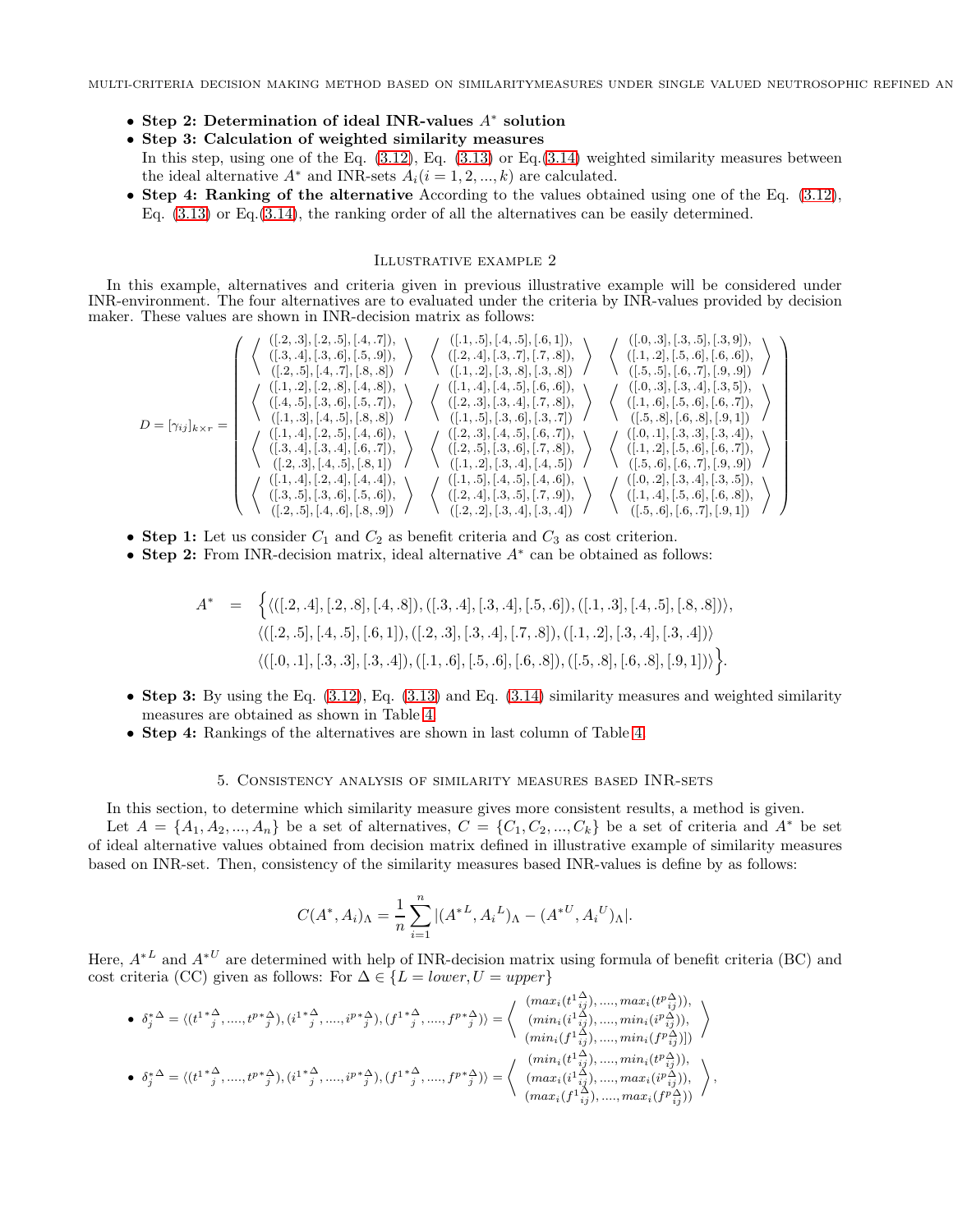- Step 2: Determination of ideal INR-values A<sup>∗</sup> solution
- Step 3: Calculation of weighted similarity measures
- In this step, using one of the Eq.  $(3.12)$ , Eq.  $(3.13)$  or Eq. $(3.14)$  weighted similarity measures between the ideal alternative  $A^*$  and INR-sets  $A_i(i = 1, 2, ..., k)$  are calculated.
- Step 4: Ranking of the alternative According to the values obtained using one of the Eq. [\(3.12\)](#page-8-0), Eq. [\(3.13\)](#page-8-1) or Eq.[\(3.14\)](#page-8-2), the ranking order of all the alternatives can be easily determined.

### <span id="page-11-0"></span>Illustrative example 2

In this example, alternatives and criteria given in previous illustrative example will be considered under INR-environment. The four alternatives are to evaluated under the criteria by INR-values provided by decision maker. These values are shown in INR-decision matrix as follows:

$$
D = [\gamma_{ij}]_{k \times r} = \begin{pmatrix} \langle [.2, .3], [.2, .5], [.4, .7], \\ \langle [.3, .4], [.3, .6], [.5, .9] \rangle \\ \langle [.2, .5], [.4, .7], [.8, .8] \rangle \end{pmatrix} \times \begin{pmatrix} \langle [.1, .5], [.4, .5], [.5, .1], \\ \langle [.2, .5], [.4, .7], [.8, .8] \rangle \end{pmatrix} \times \begin{pmatrix} \langle [.1, .2], [.3, .8], [.3, .8] \rangle \\ \langle [.1, .2], [.3, .8], [.3, .8] \rangle \end{pmatrix} \times \begin{pmatrix} \langle [.1, .2], [.5, .6], [.6, .6], \\ \langle [.5, .5], [.6, .7], [.9, .9] \rangle \\ \langle [.5, .5], [.6, .7], [.9, .9] \rangle \end{pmatrix} \times \begin{pmatrix} \langle [.1, .2], [.2, .8], [.4, .8], \\ \langle [.4, .5], [.2, .8], [.5, .7] \rangle \\ \langle [.4, .5], [.3, .6], [.5, .7] \rangle \end{pmatrix} \times \begin{pmatrix} \langle [.1, .4], [.4, .5], [.6, .6], \\ \langle [.2, .3], [.3, .4], [.7, .8] \rangle \\ \langle [.1, .5], [.3, .6], [.3, .7] \rangle \end{pmatrix} \times \begin{pmatrix} \langle [.1, .6], [.5, .6], [.6, .7], \\ \langle [.1, .6], [.5, .6], [.6, .7], \\ \langle [.5, .8], [.6, .8], [.9, 1] \rangle \end{pmatrix} \times \begin{pmatrix} \langle [.1, .4], [.2, .5], [.4, .6], \\ \langle [.2, .3], [.4, .5], [.8, 1] \rangle \end{pmatrix} \times \begin{pmatrix} \langle [.2, .3], [.4, .5], [.6, .7], \\ \langle [.2, .5], [.4, .6], \langle [.2, .1], [.4, .4] \rangle \\ \langle [.2, .3], [.4, .4], \langle [.4, .4] \rangle \end{pmatrix} \times \begin{pmatrix} \langle [.1
$$

- Step 1: Let us consider  $C_1$  and  $C_2$  as benefit criteria and  $C_3$  as cost criterion.
- Step 2: From INR-decision matrix, ideal alternative A<sup>∗</sup> can be obtained as follows:

$$
A^* = \left\{ \langle ([.2, .4], [.2, .8], [.4, .8]), ([.3, .4], [.3, .4], [.5, .6]), ([.1, .3], [.4, .5], [.8, .8]) \rangle, \langle ([.2, .5], [.4, .5], [.6, 1]), ([.2, .3], [.3, .4], [.7, .8]), ([.1, .2], [.3, .4], [.3, .4]) \rangle, \langle ([.0, .1], [.3, .3], [.3, .4]), ([.1, .6], [.5, .6], [.6, .8]), ([.5, .8], [.6, .8], [.9, 1]) \rangle \right\}.
$$

- Step 3: By using the Eq.  $(3.12)$ , Eq.  $(3.13)$  and Eq.  $(3.14)$  similarity measures and weighted similarity measures are obtained as shown in Table [4.](#page-12-3)
- Step 4: Rankings of the alternatives are shown in last column of Table [4.](#page-12-3)

## 5. Consistency analysis of similarity measures based INR-sets

In this section, to determine which similarity measure gives more consistent results, a method is given. Let  $A = \{A_1, A_2, ..., A_n\}$  be a set of alternatives,  $C = \{C_1, C_2, ..., C_k\}$  be a set of criteria and  $A^*$  be set of ideal alternative values obtained from decision matrix defined in illustrative example of similarity measures based on INR-set. Then, consistency of the similarity measures based INR-values is define by as follows:

$$
C(A^*, A_i)_{\Lambda} = \frac{1}{n} \sum_{i=1}^n |(A^{*L}, A_i^L)_{\Lambda} - (A^{*U}, A_i^U)_{\Lambda}|.
$$

Here,  $A^*{}^L$  and  $A^*{}^U$  are determined with help of INR-decision matrix using formula of benefit criteria (BC) and cost criteria (CC) given as follows: For  $\Delta \in \{L = lower, U = upper\}$ 

$$
\bullet \quad \delta_{j}^{*\Delta} = \langle (t^{1 \ * \Delta}_{j},....,t^{p \ * \Delta}_{j}), (i^{1 \ * \Delta}_{j},....,i^{p \ * \Delta}_{j}), (f^{1 \ * \Delta}_{j},....,f^{p \ * \Delta}_{j}) \rangle = \left\langle \begin{array}{c} (max_{i} (t^{1 \: \Delta}_{i j}),....,max_{i} (t^{p \: \Delta}_{i j})), \\ (min_{i} (i^{1 \: \Delta}_{i j}),....,min_{i} (i^{p \: \Delta}_{i j})), \\ (min_{i} (f^{1 \: \Delta}_{i j}),....,min_{i} (f^{p \: \Delta}_{i j}))) \end{array} \right\rangle
$$
  
\n
$$
\bullet \quad \delta_{j}^{*\Delta} = \langle (t^{1 \ * \Delta}_{j},....,t^{p \ * \Delta}_{j}), (i^{1 \ * \Delta}_{j},....,i^{p \ * \Delta}_{j}), (f^{1 \ * \Delta}_{j},....,f^{p \ * \Delta}_{j})) \rangle = \left\langle \begin{array}{c} (min_{i} (t^{1 \: \Delta}_{i j}),....,min_{i} (t^{p \: \Delta}_{i j})), \\ (min_{i} (t^{1 \: \Delta}_{i j}),....,min_{i} (t^{p \: \Delta}_{i j})), \\ (max_{i} (i^{1 \: \Delta}_{i j}),....,max_{i} (f^{p \: \Delta}_{i j})), \\ (max_{i} (f^{1 \: \Delta}_{i j}),....,max_{i} (f^{p \: \Delta}_{i j})) \end{array} \right\rangle,
$$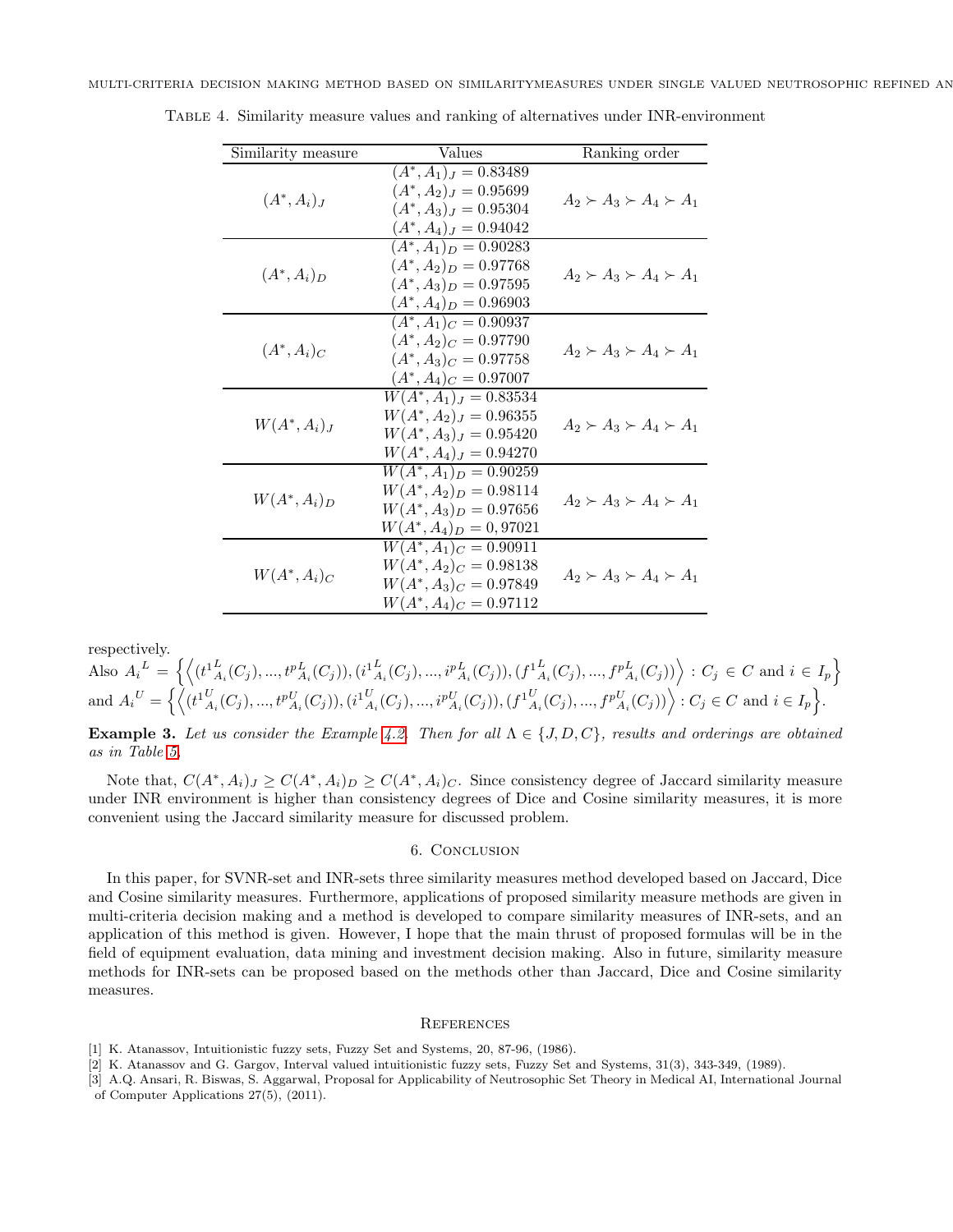<span id="page-12-3"></span>

| Similarity measure | Values                                                                                                            | Ranking order                       |
|--------------------|-------------------------------------------------------------------------------------------------------------------|-------------------------------------|
| $(A^*, A_i)_J$     | $(A^*, A_1)_J = 0.83489$<br>$(A^*, A_2)_J = 0.95699$<br>$(A^*, A_3)_J = 0.95304$<br>$(A^*, A_4)_J = 0.94042$      | $A_2 \succ A_3 \succ A_4 \succ A_1$ |
| $(A^*,A_i)_D$      | $(A^*, A_1)_D = 0.90283$<br>$(A^*, A_2)_D = 0.97768$<br>$(A^*, A_3)_D = 0.97595$<br>$(A^*, A_4)_D = 0.96903$      | $A_2 \succ A_3 \succ A_4 \succ A_1$ |
| $(A^*,A_i)_C$      | $(A^*, A_1)_C = 0.90937$<br>$(A^*, A_2)_C = 0.97790$<br>$(A^*, A_3)_C = 0.97758$<br>$(A^*, A_4)_C = 0.97007$      | $A_2 \succ A_3 \succ A_4 \succ A_1$ |
| $W(A^*,A_i)_J$     | $W(A^*,A_1)_{J} = 0.83534$<br>$W(A^*, A_2)_J = 0.96355$<br>$W(A^*, A_3)_J = 0.95420$<br>$W(A^*, A_4)_J = 0.94270$ | $A_2 \succ A_3 \succ A_4 \succ A_1$ |
| $W(A^*,A_i)_D$     | $W(A^*,A_1)_D = 0.90259$<br>$W(A^*, A_2)_D = 0.98114$<br>$W(A^*,A_3)_D = 0.97656$<br>$W(A^*, A_4)_D = 0,97021$    | $A_2 \succ A_3 \succ A_4 \succ A_1$ |
| $W(A^*,A_i)_C$     | $W(A^*,A_1)_C=0.90911$<br>$W(A^*, A_2)_C = 0.98138$<br>$W(A^*,A_3)_C = 0.97849$<br>$W(A^*, A_4)_C = 0.97112$      | $A_2 \succ A_3 \succ A_4 \succ A_1$ |

Table 4. Similarity measure values and ranking of alternatives under INR-environment

respectively.

 $\text{Also } A_i^L = \left\{ \left\langle (t^1_{A_i}(C_j),...,t^p_{A_i}(C_j)),(i^1_{A_i}(C_j),...,i^p_{A_i}(C_j)),(f^1_{A_i}(C_j),...,f^p_{A_i}(C_j)) \right\rangle : C_j \in C \text{ and } i \in I_p \right\}$  $\text{and}\ A_i^{\ U}=\left\{\left\langle (t^1_{A_i}^U(C_j),...,t^p_{A_i}^U(C_j)),(i^1_{A_i}^U(C_j),...,i^p_{A_i}^U(C_j)),(f^1_{A_i}^U(C_j),...,f^p_{A_i}^U(C_j))\right\rangle:C_j\in C\ \text{and}\ i\in I_p\right\}.$ 

**Example 3.** Let us consider the Example [4.2.](#page-11-0) Then for all  $\Lambda \in \{J, D, C\}$ , results and orderings are obtained *as in Table [5,](#page-13-17)*

Note that,  $C(A^*, A_i)_J \geq C(A^*, A_i)_D \geq C(A^*, A_i)_C$ . Since consistency degree of Jaccard similarity measure under INR environment is higher than consistency degrees of Dice and Cosine similarity measures, it is more convenient using the Jaccard similarity measure for discussed problem.

## 6. Conclusion

In this paper, for SVNR-set and INR-sets three similarity measures method developed based on Jaccard, Dice and Cosine similarity measures. Furthermore, applications of proposed similarity measure methods are given in multi-criteria decision making and a method is developed to compare similarity measures of INR-sets, and an application of this method is given. However, I hope that the main thrust of proposed formulas will be in the field of equipment evaluation, data mining and investment decision making. Also in future, similarity measure methods for INR-sets can be proposed based on the methods other than Jaccard, Dice and Cosine similarity measures.

#### **REFERENCES**

- <span id="page-12-1"></span><span id="page-12-0"></span>[1] K. Atanassov, Intuitionistic fuzzy sets, Fuzzy Set and Systems, 20, 87-96, (1986).
- <span id="page-12-2"></span>[2] K. Atanassov and G. Gargov, Interval valued intuitionistic fuzzy sets, Fuzzy Set and Systems, 31(3), 343-349, (1989).
- [3] A.Q. Ansari, R. Biswas, S. Aggarwal, Proposal for Applicability of Neutrosophic Set Theory in Medical AI, International Journal
- of Computer Applications 27(5), (2011).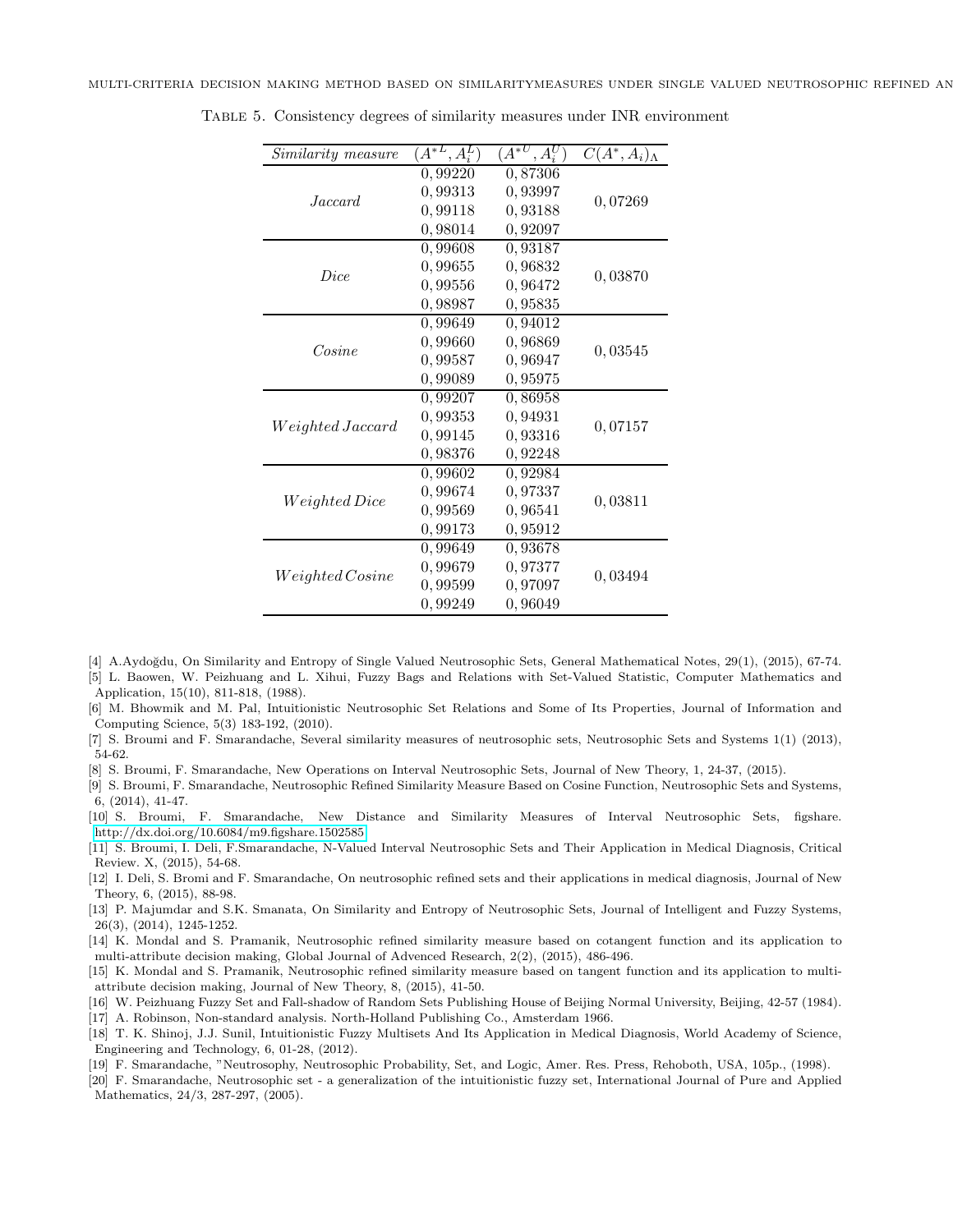<span id="page-13-17"></span>

| Similarity measure    | $\overline{A^{*L}}, A_i^L$ | $A^{*U}$<br>$, A_i^U$ | $C(A^*,A_i)$ |  |
|-----------------------|----------------------------|-----------------------|--------------|--|
| Jaccard               | 0,99220                    | 0,87306               |              |  |
|                       | 0,99313                    | 0,93997               | 0,07269      |  |
|                       | 0,99118                    | 0,93188               |              |  |
|                       | 0,98014                    | 0,92097               |              |  |
|                       | 0,99608                    | 0,93187               |              |  |
| <i>Dice</i>           | 0,99655                    | 0.96832               | 0,03870      |  |
|                       | 0,99556                    | 0,96472               |              |  |
|                       | 0,98987                    | 0,95835               |              |  |
|                       | 0,99649                    | 0,94012               |              |  |
| Cosine                | 0,99660                    | 0,96869               | 0,03545      |  |
|                       | 0,99587                    | 0,96947               |              |  |
|                       | 0,99089                    | 0,95975               |              |  |
|                       | 0,99207                    | 0,86958               |              |  |
| $Weighted \, Jaccard$ | 0,99353                    | 0,94931               | 0,07157      |  |
|                       | 0,99145                    | 0.93316               |              |  |
|                       | 0,98376                    | 0,92248               |              |  |
| $Weighted \, Dice$    | 0,99602                    | 0,92984               |              |  |
|                       | 0,99674                    | 0,97337               | 0,03811      |  |
|                       | 0,99569                    | 0,96541               |              |  |
|                       | 0,99173                    | 0,95912               |              |  |
| Weighted Cosine       | 0.99649                    | 0,93678               |              |  |
|                       | 0,99679                    | 0,97377               | 0,03494      |  |
|                       | 0,99599                    | 0,97097               |              |  |
|                       | 0,99249                    | 0,96049               |              |  |

Table 5. Consistency degrees of similarity measures under INR environment

- <span id="page-13-11"></span><span id="page-13-5"></span>[4] A.Aydo˘gdu, On Similarity and Entropy of Single Valued Neutrosophic Sets, General Mathematical Notes, 29(1), (2015), 67-74. [5] L. Baowen, W. Peizhuang and L. Xihui, Fuzzy Bags and Relations with Set-Valued Statistic, Computer Mathematics and Application, 15(10), 811-818, (1988).
- <span id="page-13-4"></span>[6] M. Bhowmik and M. Pal, Intuitionistic Neutrosophic Set Relations and Some of Its Properties, Journal of Information and Computing Science, 5(3) 183-192, (2010).
- <span id="page-13-9"></span><span id="page-13-3"></span>[7] S. Broumi and F. Smarandache, Several similarity measures of neutrosophic sets, Neutrosophic Sets and Systems 1(1) (2013), 54-62.
- <span id="page-13-13"></span>[8] S. Broumi, F. Smarandache, New Operations on Interval Neutrosophic Sets, Journal of New Theory, 1, 24-37, (2015).
- [9] S. Broumi, F. Smarandache, Neutrosophic Refined Similarity Measure Based on Cosine Function, Neutrosophic Sets and Systems, 6, (2014), 41-47.
- <span id="page-13-12"></span>[10] S. Broumi, F. Smarandache, New Distance and Similarity Measures of Interval Neutrosophic Sets, figshare. <http://dx.doi.org/10.6084/m9.figshare.1502585>
- <span id="page-13-8"></span>[11] S. Broumi, I. Deli, F.Smarandache, N-Valued Interval Neutrosophic Sets and Their Application in Medical Diagnosis, Critical Review. X, (2015), 54-68.
- <span id="page-13-16"></span>[12] I. Deli, S. Bromi and F. Smarandache, On neutrosophic refined sets and their applications in medical diagnosis, Journal of New Theory, 6, (2015), 88-98.
- <span id="page-13-10"></span>[13] P. Majumdar and S.K. Smanata, On Similarity and Entropy of Neutrosophic Sets, Journal of Intelligent and Fuzzy Systems, 26(3), (2014), 1245-1252.
- <span id="page-13-14"></span>[14] K. Mondal and S. Pramanik, Neutrosophic refined similarity measure based on cotangent function and its application to multi-attribute decision making, Global Journal of Advenced Research, 2(2), (2015), 486-496.
- <span id="page-13-15"></span>[15] K. Mondal and S. Pramanik, Neutrosophic refined similarity measure based on tangent function and its application to multiattribute decision making, Journal of New Theory, 8, (2015), 41-50.
- <span id="page-13-6"></span><span id="page-13-1"></span>[16] W. Peizhuang Fuzzy Set and Fall-shadow of Random Sets Publishing House of Beijing Normal University, Beijing, 42-57 (1984).
- <span id="page-13-7"></span>[17] A. Robinson, Non-standard analysis. North-Holland Publishing Co., Amsterdam 1966. [18] T. K. Shinoj, J.J. Sunil, Intuitionistic Fuzzy Multisets And Its Application in Medical Diagnosis, World Academy of Science,
- <span id="page-13-0"></span>Engineering and Technology, 6, 01-28, (2012).
- <span id="page-13-2"></span>[19] F. Smarandache, "Neutrosophy, Neutrosophic Probability, Set, and Logic, Amer. Res. Press, Rehoboth, USA, 105p., (1998).
- [20] F. Smarandache, Neutrosophic set a generalization of the intuitionistic fuzzy set, International Journal of Pure and Applied Mathematics, 24/3, 287-297, (2005).